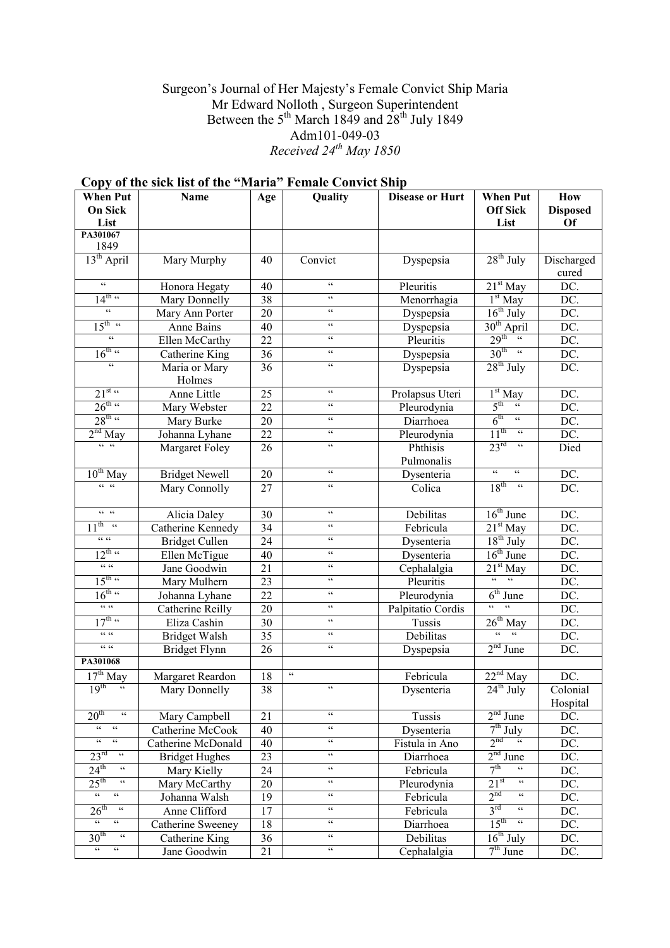## Surgeon's Journal of Her Majesty's Female Convict Ship Maria Mr Edward Nolloth , Surgeon Superintendent Between the 5<sup>th</sup> March 1849 and  $28<sup>th</sup>$  July 1849 Adm101-049-03 Received  $24^{th}$  May 1850

| <b>When Put</b>                                              | Name                    | Quality<br>Age  |                          | <b>Disease or Hurt</b>    | <b>When Put</b>                                              | How               |
|--------------------------------------------------------------|-------------------------|-----------------|--------------------------|---------------------------|--------------------------------------------------------------|-------------------|
| <b>On Sick</b>                                               |                         |                 |                          |                           | <b>Off Sick</b>                                              | <b>Disposed</b>   |
| List                                                         |                         |                 |                          |                           | List                                                         | <b>Of</b>         |
| PA301067<br>1849                                             |                         |                 |                          |                           |                                                              |                   |
| 13 <sup>th</sup> April                                       | Mary Murphy             | 40              | Convict                  | Dyspepsia                 | $28^{th}$ July                                               | Discharged        |
|                                                              |                         |                 |                          |                           |                                                              | cured             |
| $\epsilon\,\epsilon$                                         | Honora Hegaty           | 40              | $\zeta$ $\zeta$          | Pleuritis                 | $21st$ May                                                   | DC.               |
| $14^{\text{th}}$ $\alpha$                                    | Mary Donnelly           | 38              | $\zeta$ $\zeta$          | Menorrhagia               | $1st$ May                                                    | DC.               |
| $\zeta$ $\zeta$                                              | Mary Ann Porter         | 20              | $\zeta$ $\zeta$          | Dyspepsia                 | $16^{th}$ July                                               | DC.               |
| $15^{\text{th} - \alpha}$                                    | Anne Bains              | 40              | $\zeta$ $\zeta$          | Dyspepsia                 | 30 <sup>th</sup> April                                       | DC.               |
| $\epsilon\epsilon$                                           | Ellen McCarthy          | 22              | $\zeta$ $\zeta$          | Pleuritis                 | $29^{\text{th}}$                                             | DC.               |
| $16^{\text{th } \alpha}$                                     | Catherine King          | 36              | $\zeta$ $\zeta$          | Dyspepsia                 | $30^{\text{th}}$ "                                           | DC.               |
| $\epsilon\epsilon$                                           | Maria or Mary<br>Holmes | 36              | $\epsilon\, \epsilon$    | Dyspepsia                 | $28th$ July                                                  | DC.               |
| $21^{st}$                                                    | Anne Little             | 25              | $\zeta$ $\zeta$          | Prolapsus Uteri           | $1st$ May                                                    | DC.               |
| $26^{\text{th} \text{ cc}}$                                  | Mary Webster            | 22              | $\zeta$ $\zeta$          | Pleurodynia               | 5 <sup>th</sup><br>$\mathfrak{c}\mathfrak{c}$                | DC.               |
| $28^{\text{th}}$ $\approx$                                   | Mary Burke              | 20              | $\mathsf{c}\,\mathsf{c}$ | Diarrhoea                 | 6 <sup>th</sup><br>$\overline{\mathfrak{c}}$                 | $\overline{DC}$ . |
| $2nd$ May                                                    | Johanna Lyhane          | 22              | $\zeta$ $\zeta$          | Pleurodynia               | 11 <sup>th</sup><br>$\epsilon\epsilon$                       | DC.               |
| $cc - cc$                                                    | Margaret Foley          | 26              | $\mathsf{c}\,\mathsf{c}$ | Phthisis                  | 23 <sup>rd</sup><br>$\mathsf{cc}$                            | Died              |
|                                                              |                         |                 |                          | Pulmonalis                |                                                              |                   |
| $10^{th}$ May                                                | <b>Bridget Newell</b>   | 20              | $\mathsf{c}\,\mathsf{c}$ | Dysenteria                | $\epsilon\, \epsilon$<br>$\zeta$ $\zeta$                     | DC.               |
| $cc - cc$                                                    | Mary Connolly           | 27              | $\mathsf{c}\,\mathsf{c}$ | Colica                    | 18 <sup>th</sup><br>$\zeta\,\zeta$                           | DC.               |
| $cc - cc$                                                    | Alicia Daley            | 30              | $\mathsf{c}\,\mathsf{c}$ | Debilitas                 | $16th$ June                                                  | DC.               |
| $11^{\text{th} - \alpha}$                                    | Catherine Kennedy       | 34              | $\epsilon$ $\epsilon$    | Febricula                 | $21st$ May                                                   | DC.               |
| $cc$ $cc$                                                    | <b>Bridget Cullen</b>   | 24              | $\epsilon$ $\epsilon$    | Dysenteria                | $18^{th}$ July                                               | DC.               |
| $\frac{12^{\text{th}}}{\cdots}$                              | Ellen McTigue           | 40              | $\epsilon$ $\epsilon$    | Dysenteria                | $16th$ June                                                  | DC.               |
| CC                                                           | Jane Goodwin            | 21              | $\epsilon$ $\epsilon$    | $\overline{C}$ ephalalgia | $21st$ May                                                   | DC.               |
| $15^{\text{th}}$ $\alpha$                                    | Mary Mulhern            | 23              | $\epsilon$ $\epsilon$    | Pleuritis                 | $\alpha$<br>$\epsilon$                                       | DC.               |
| $16^{\text{th}}$ $\alpha$                                    | Johanna Lyhane          | $\overline{22}$ | $\epsilon$ $\epsilon$    | Pleurodynia               | $6th$ June                                                   | DC.               |
| CC                                                           | Catherine Reilly        | 20              | $\epsilon$ $\epsilon$    | Palpitatio Cordis         | $\epsilon$<br>$\epsilon\epsilon$                             | DC.               |
| $17^{\text{th}}$ $\approx$                                   | Eliza Cashin            | 30              | $\epsilon$ $\epsilon$    | Tussis                    | $\frac{26^{\text{th}}}{\frac{1}{26}}$ May                    | DC.               |
| $cc$ $cc$                                                    | <b>Bridget Walsh</b>    | $\overline{35}$ | $\zeta$ $\zeta$          | Debilitas                 |                                                              | DC.               |
| $cc$ $cc$                                                    | <b>Bridget Flynn</b>    | 26              | $\epsilon\,\epsilon$     | Dyspepsia                 | $2nd$ June                                                   | DC.               |
| PA301068                                                     |                         |                 |                          |                           |                                                              |                   |
| $17th$ May                                                   | Margaret Reardon        | 18              | $\zeta\,\zeta$           | Febricula                 | $22nd$ May                                                   | DC.               |
| $\frac{1}{\alpha}$<br>19 <sup>th</sup>                       | Mary Donnelly           | $\overline{38}$ | $\mathsf{c}\,\mathsf{c}$ | Dysenteria                | $24th$ July                                                  | Colonial          |
| $\epsilon\,\epsilon$                                         |                         |                 | $\mathsf{c}\,\mathsf{c}$ |                           |                                                              | Hospital          |
| 20 <sup>th</sup><br>$\epsilon\epsilon$<br>$\mathsf{cc}$      | Mary Campbell           | 21              | $\mathsf{c}\,\mathsf{c}$ | Tussis                    | $2nd$ June                                                   | DC.               |
| $\mathsf{cc}$<br>$\mathsf{cc}$                               | Catherine McCook        | 40              | $\mathsf{cc}$            | Dysenteria                | $7th$ July<br>$2^{nd}$ $\alpha$                              | DC.               |
| $\mathfrak{c}\,\mathfrak{c}$                                 | Catherine McDonald      | 40              | $\mathsf{c}\,\mathsf{c}$ | Fistula in Ano            |                                                              | DC.               |
| 23 <sup>rd</sup><br>$24^{\text{th}}$<br>$\epsilon\epsilon$   | <b>Bridget Hughes</b>   | 23              | $\mathsf{cc}$            | Diarrhoea                 | $2nd$ June<br>$\overline{\mathfrak{c}}$                      | DC.               |
| $\mathsf{cc}$                                                | Mary Kielly             | 24              | $\mathsf{cc}$            | Febricula                 | 7 <sup>th</sup><br>$\mathfrak{c}\mathfrak{c}$                | DC.               |
| $25^{\text{th}}$<br>$\epsilon\epsilon$<br>$\epsilon\epsilon$ | Mary McCarthy           | 20              | $\mathsf{cc}$            | Pleurodynia               | 21 <sup>st</sup><br>2 <sup>nd</sup><br>$\epsilon$ $\epsilon$ | DC.               |
| $\epsilon$ $\epsilon$                                        | Johanna Walsh           | 19              | $\mathsf{cc}$            | Febricula                 | 3 <sup>rd</sup><br>$\mathsf{cc}$                             | DC.               |
| $26^{\text{th}}$<br>$\epsilon\epsilon$<br>$\mathsf{cc}$      | Anne Clifford           | 17              | $\mathsf{cc}$            | Febricula                 | $\mathfrak{c}\mathfrak{c}$                                   | DC.               |
| 30 <sup>th</sup><br>$\epsilon\epsilon$                       | Catherine Sweeney       | 18              | $\mathsf{cc}$            | Diarrhoea                 | $15^{\text{th}}$                                             | DC.               |
| $\epsilon\epsilon$<br>$\mathsf{c}\,\mathsf{c}$               | Catherine King          | 36              | $\mathsf{cc}$            | Debilitas                 | $16th$ July                                                  | DC.               |
|                                                              | Jane Goodwin            | 21              |                          | Cephalalgia               | $7th$ June                                                   | DC.               |

# Copy of the sick list of the "Maria" Female Convict Ship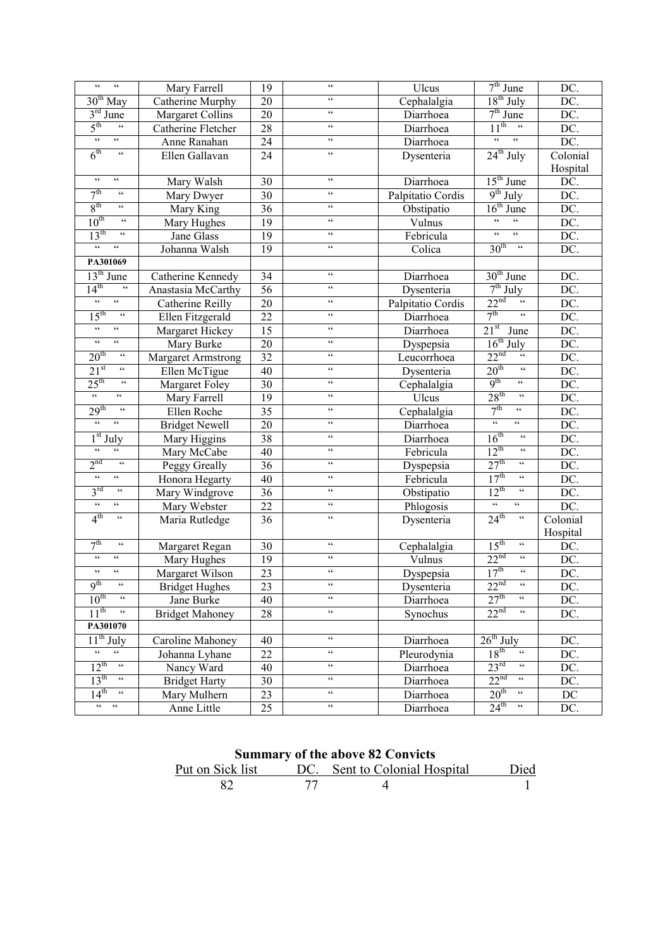| $\epsilon\epsilon$<br>$\epsilon\epsilon$                                        | Mary Farrell              | $\overline{19}$ | $\epsilon\epsilon$          | Ulcus             | $7th$ June                                       | DC.      |
|---------------------------------------------------------------------------------|---------------------------|-----------------|-----------------------------|-------------------|--------------------------------------------------|----------|
| $30th$ May                                                                      | Catherine Murphy          | 20              | $\zeta$ $\zeta$             | Cephalalgia       | $18^{th}$ July                                   | DC.      |
| $3rd$ June                                                                      | <b>Margaret Collins</b>   | 20              | $\epsilon\epsilon$          | Diarrhoea         | $7th$ June                                       | DC.      |
| 5 <sup>th</sup><br>$\epsilon\epsilon$                                           | Catherine Fletcher        | $\overline{28}$ | $\zeta$ $\zeta$             | Diarrhoea         | $11^{th}$<br>$\epsilon$                          | DC.      |
| $\epsilon\epsilon$<br>$\alpha$                                                  | Anne Ranahan              | 24              | $\epsilon\epsilon$          | Diarrhoea         | $\epsilon\epsilon$<br>$\epsilon\epsilon$         | DC.      |
| 6 <sup>th</sup><br>$\overline{\mathfrak{c}}$                                    | Ellen Gallavan            | $\overline{24}$ | $\epsilon\epsilon$          | Dysenteria        | $24^{th}$ July                                   | Colonial |
|                                                                                 |                           |                 |                             |                   |                                                  | Hospital |
| $\epsilon\epsilon$<br>$\epsilon\,\epsilon$                                      | Mary Walsh                | 30              | $\zeta$ $\zeta$             | Diarrhoea         | $15th$ June                                      | $DC$ .   |
| 7 <sup>th</sup><br>$\mathfrak{c}\,\mathfrak{c}$                                 | Mary Dwyer                | 30              | $\zeta$ $\zeta$             | Palpitatio Cordis | $9^{th}$ July                                    | DC.      |
| 8 <sup>th</sup><br>$\mathsf{cc}$                                                | Mary King                 | $\overline{36}$ | $\zeta$ $\zeta$             | Obstipatio        | $16th$ June                                      | DC.      |
| $10^{\text{th}}$<br>$\zeta$ $\zeta$                                             | Mary Hughes               | $\overline{19}$ | $\zeta$ $\zeta$             | Vulnus            | $\epsilon\epsilon$<br>$\epsilon\epsilon$         | DC.      |
| 13 <sup>th</sup><br>$\zeta\,\zeta$                                              | Jane Glass                | $\overline{19}$ | $\zeta$ $\zeta$             | Febricula         | $\epsilon\epsilon$<br>$\epsilon\epsilon$         | DC.      |
| $\mathfrak{c}\mathfrak{c}$<br>$\boldsymbol{\varsigma}$ $\boldsymbol{\varsigma}$ | Johanna Walsh             | $\overline{19}$ | $\zeta$ $\zeta$             | Colica            | 30 <sup>th</sup><br>$\zeta\,\zeta$               | DC.      |
| PA301069                                                                        |                           |                 |                             |                   |                                                  |          |
| $13th$ June                                                                     | Catherine Kennedy         | 34              | $\zeta$ $\zeta$             | Diarrhoea         | $30th$ June                                      | DC.      |
| $\epsilon\epsilon$<br>14 <sup>th</sup>                                          | Anastasia McCarthy        | $\overline{56}$ | $\pmb{\zeta}$ $\pmb{\zeta}$ | Dysenteria        | $7th$ July                                       | DC.      |
| $\mathfrak{c}\mathfrak{c}$<br>$\mathfrak{c}\mathfrak{c}$                        | Catherine Reilly          | 20              | $\pmb{\zeta}$ $\pmb{\zeta}$ | Palpitatio Cordis | 22 <sup>nd</sup><br>$\mathfrak{c}\mathfrak{c}$   | DC.      |
| 15 <sup>th</sup><br>$\epsilon\epsilon$                                          | Ellen Fitzgerald          | 22              | $\pmb{\zeta}$ $\pmb{\zeta}$ | Diarrhoea         | 7 <sup>th</sup><br>$\zeta$ $\zeta$               | DC.      |
| $\mathfrak{c}\mathfrak{c}$<br>$\mathfrak{c}\mathfrak{c}$                        | Margaret Hickey           | $\overline{15}$ | $\pmb{\zeta}$ $\pmb{\zeta}$ | Diarrhoea         | $21^{st}$<br>June                                | DC.      |
| $\epsilon\epsilon$<br>$\zeta$ $\zeta$                                           | Mary Burke                | 20              | $\pmb{\zeta}$ $\pmb{\zeta}$ | Dyspepsia         | $16th$ July                                      | DC.      |
| 20 <sup>th</sup><br>$\boldsymbol{\varsigma}$ $\boldsymbol{\varsigma}$           | <b>Margaret Armstrong</b> | $\overline{32}$ | $\pmb{\zeta}$ $\pmb{\zeta}$ | Leucorrhoea       | 22 <sup>nd</sup><br>$\mathfrak{c}\,\mathfrak{c}$ | DC.      |
| 21 <sup>st</sup><br>$\mathsf{cc}$                                               | Ellen McTigue             | $\overline{40}$ | $\pmb{\zeta}$ $\pmb{\zeta}$ | Dysenteria        | 20 <sup>th</sup><br>$\zeta\,\zeta$               | DC.      |
| 25 <sup>th</sup><br>$\mathfrak{c}\,\mathfrak{c}$                                | Margaret Foley            | $\overline{30}$ | $\pmb{\zeta}$ $\pmb{\zeta}$ | Cephalalgia       | 9 <sup>th</sup><br>$\epsilon\epsilon$            | DC.      |
| $\epsilon\epsilon$<br>$\epsilon\,\epsilon$                                      | Mary Farrell              | 19              | $\pmb{\zeta}$ $\pmb{\zeta}$ | Ulcus             | 28 <sup>th</sup><br>$\zeta$ $\zeta$              | DC.      |
| 29 <sup>th</sup><br>$\zeta\zeta$                                                | Ellen Roche               | $\overline{35}$ | $\pmb{\zeta}$ $\pmb{\zeta}$ | Cephalalgia       | 7 <sup>th</sup><br>$\zeta$ $\zeta$               | DC.      |
| $\epsilon\epsilon$<br>$\zeta$ $\zeta$                                           | <b>Bridget Newell</b>     | 20              | $\pmb{\zeta}$ $\pmb{\zeta}$ | Diarrhoea         | $\epsilon\epsilon$<br>$\epsilon\epsilon$         | DC.      |
| $1st$ July                                                                      | Mary Higgins              | $\overline{38}$ | $\pmb{\zeta}$ $\pmb{\zeta}$ | Diarrhoea         | 16 <sup>th</sup><br>$\zeta\,\zeta$               | DC.      |
| $\zeta$ $\zeta$<br>$\mathsf{c}\,\mathsf{c}$                                     | Mary McCabe               | 40              | $\pmb{\zeta}$ $\pmb{\zeta}$ | Febricula         | $12^{th}$<br>$\zeta\,\zeta$                      | DC.      |
| 2 <sup>nd</sup><br>$\zeta\,\zeta$                                               | Peggy Greally             | $\overline{36}$ | $\pmb{\zeta}$ $\pmb{\zeta}$ | Dyspepsia         | 27 <sup>th</sup><br>$\zeta$ $\zeta$              | DC.      |
| $\epsilon\epsilon$<br>$\mathsf{c}\,\mathsf{c}$                                  | Honora Hegarty            | 40              | $\pmb{\zeta}$ $\pmb{\zeta}$ | Febricula         | 17 <sup>th</sup><br>$\zeta$ $\zeta$              | DC.      |
| 3 <sup>rd</sup><br>$\zeta\,\zeta$                                               | Mary Windgrove            | $\overline{36}$ | $\pmb{\zeta}$ $\pmb{\zeta}$ | Obstipatio        | $12^{th}$<br>$\zeta$ $\zeta$                     | DC.      |
| $\mathfrak{c}\mathfrak{c}$<br>$\epsilon\epsilon$                                | Mary Webster              | 22              | $\pmb{\zeta}$ $\pmb{\zeta}$ | Phlogosis         | $\epsilon\epsilon$<br>$\zeta$ $\zeta$            | DC.      |
| 4 <sup>th</sup><br>$\zeta\,\zeta$                                               | Maria Rutledge            | 36              | $\pmb{\zeta}$ $\pmb{\zeta}$ | Dysenteria        | $24^{\text{th}}$<br>$\zeta\,\zeta$               | Colonial |
|                                                                                 |                           |                 |                             |                   |                                                  | Hospital |
| 7 <sup>th</sup><br>$\zeta\,\zeta$                                               | Margaret Regan            | 30              | $\mathsf{cc}$               | Cephalalgia       | 15 <sup>th</sup><br>$\zeta$ $\zeta$              | DC.      |
| $\mathfrak{c}\,\mathfrak{c}$<br>$\mathsf{c}\,\mathsf{c}$                        | Mary Hughes               | 19              | $\zeta\,\zeta$              | Vulnus            | 22 <sup>nd</sup><br>$\mathfrak{c}\,\mathfrak{c}$ | DC.      |
| $\mathfrak{c}\,\mathfrak{c}$<br>$\mathsf{c}\,\mathsf{c}$                        | Margaret Wilson           | 23              | $\mathsf{cc}$               | Dyspepsia         | 17 <sup>th</sup><br>$\zeta\,\zeta$               | DC.      |
| 9 <sup>th</sup><br>$\zeta$ $\zeta$                                              | <b>Bridget Hughes</b>     | 23              | $\zeta$ $\zeta$             | Dysenteria        | 22 <sup>nd</sup><br>$\zeta\,\zeta$               | DC.      |
| $10^{th}$<br>$\zeta\,\zeta$                                                     | Jane Burke                | 40              | $\zeta$ $\zeta$             | Diarrhoea         | 27 <sup>th</sup><br>$\mathsf{cc}$                | DC.      |
| $11^{th}$<br>$\epsilon\epsilon$                                                 | <b>Bridget Mahoney</b>    | 28              | $\zeta$ $\zeta$             | Synochus          | 22 <sup>nd</sup><br>$\mathfrak{c}\,\mathfrak{c}$ | DC.      |
| PA301070                                                                        |                           |                 |                             |                   |                                                  |          |
| $11^{th}$ July                                                                  | Caroline Mahoney          | 40              | $\zeta$ $\zeta$             | Diarrhoea         | $26^{th}$ July                                   | DC.      |
| $\epsilon\epsilon$<br>$\epsilon\,\epsilon$                                      | Johanna Lyhane            | 22              | $\mathsf{cc}$               | Pleurodynia       | $18^{\text{th}}$<br>$\zeta\,\zeta$               | DC.      |
| $12^{th}$<br>$\epsilon$                                                         | Nancy Ward                | 40              | $\mathsf{c}\,\mathsf{c}$    | Diarrhoea         | $23^{\text{rd}}$<br>$\epsilon\epsilon$           | DC.      |
| $13^{\text{th}}$ $\alpha$                                                       | <b>Bridget Harty</b>      | 30              | $\mathsf{cc}$               | Diarrhoea         | 22 <sup>nd</sup><br>$\mathfrak{c}\,\mathfrak{c}$ | DC.      |
| $14^{\text{th}}$ "                                                              | Mary Mulhern              | 23              | $\mathsf{c}\,\mathsf{c}$    | Diarrhoea         | $20^{\text{th}}$<br>$\mathsf{cc}$                | $DC$     |
| $\alpha = \alpha$                                                               | Anne Little               | 25              | $\mathsf{c}\,\mathsf{c}$    | Diarrhoea         | $24^{\text{th}}$ $\alpha$                        | DC.      |

| <b>Summary of the above 82 Convicts</b> |     |                               |      |  |  |
|-----------------------------------------|-----|-------------------------------|------|--|--|
| Put on Sick list                        |     | DC. Sent to Colonial Hospital | Died |  |  |
| 82                                      | -77 |                               |      |  |  |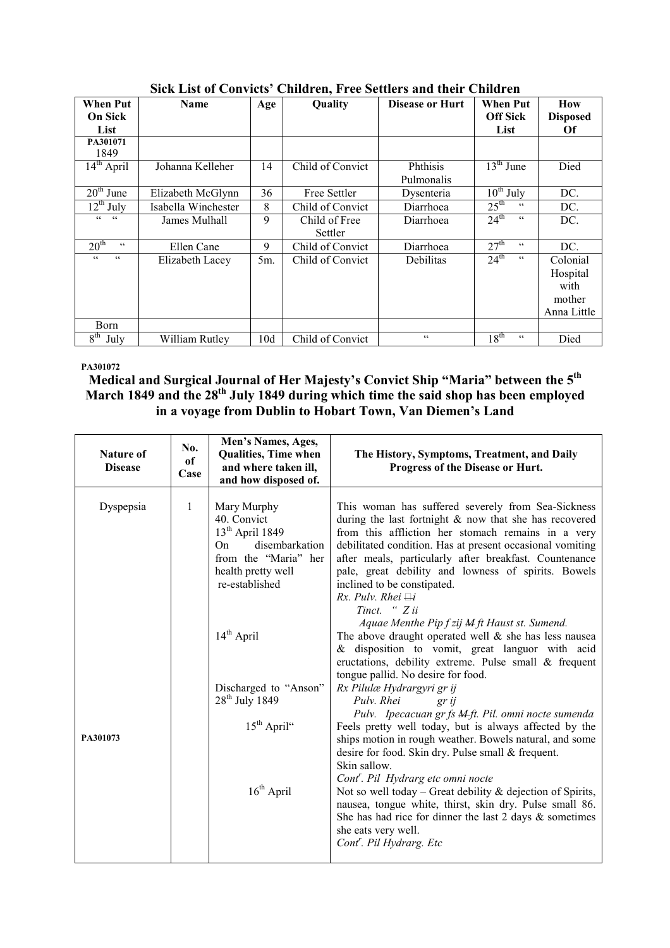| <b>When Put</b>                        | <b>Name</b>         | Age    | Quality          | <b>Disease or Hurt</b> | <b>When Put</b>                              | How             |
|----------------------------------------|---------------------|--------|------------------|------------------------|----------------------------------------------|-----------------|
| <b>On Sick</b>                         |                     |        |                  |                        | <b>Off Sick</b>                              | <b>Disposed</b> |
| List                                   |                     |        |                  |                        | List                                         | <b>Of</b>       |
| PA301071                               |                     |        |                  |                        |                                              |                 |
| 1849                                   |                     |        |                  |                        |                                              |                 |
| $14^{\text{th}}$ April                 | Johanna Kelleher    | 14     | Child of Convict | Phthisis               | $13th$ June                                  | Died            |
|                                        |                     |        |                  | Pulmonalis             |                                              |                 |
| $\overline{20}^{\text{th}}$ June       | Elizabeth McGlynn   | 36     | Free Settler     | Dysenteria             | $10^{th}$ July                               | DC.             |
| $\overline{12}$ <sup>th</sup> July     | Isabella Winchester | 8      | Child of Convict | Diarrhoea              | $25^{\text{th}}$<br>$\mathsf{c}\,\mathsf{c}$ | DC.             |
| cc<br>cc                               | James Mulhall       | 9      | Child of Free    | Diarrhoea              | $24^{\text{th}}$<br>$\mathsf{c}\,\mathsf{c}$ | DC.             |
|                                        |                     |        | Settler          |                        |                                              |                 |
| 20 <sup>th</sup><br>$\epsilon\epsilon$ | Ellen Cane          | 9      | Child of Convict | Diarrhoea              | 27 <sup>th</sup><br>C C                      | DC.             |
| cc<br>cc                               | Elizabeth Lacey     | $5m$ . | Child of Convict | Debilitas              | $24^{\text{th}}$<br>$\mathsf{c}\,\mathsf{c}$ | Colonial        |
|                                        |                     |        |                  |                        |                                              | Hospital        |
|                                        |                     |        |                  |                        |                                              | with            |
|                                        |                     |        |                  |                        |                                              | mother          |
|                                        |                     |        |                  |                        |                                              | Anna Little     |
| Born                                   |                     |        |                  |                        |                                              |                 |
| 8 <sup>th</sup><br>July                | William Rutley      | 10d    | Child of Convict | $\epsilon$ $\epsilon$  | 18 <sup>th</sup><br>$\epsilon$               | Died            |

Sick List of Convicts' Children, Free Settlers and their Children

### PA301072

Medical and Surgical Journal of Her Majesty's Convict Ship "Maria" between the  ${\bf 5}^{\rm th}$ March 1849 and the 28<sup>th</sup> July 1849 during which time the said shop has been employed in a voyage from Dublin to Hobart Town, Van Diemen's Land

| <b>Nature of</b><br><b>Disease</b> | No.<br><sub>of</sub><br>Case | Men's Names, Ages,<br><b>Qualities, Time when</b><br>and where taken ill,<br>and how disposed of.                                       | The History, Symptoms, Treatment, and Daily<br>Progress of the Disease or Hurt.                                                                                                                                                                                                                                                                                                                                                                                                    |
|------------------------------------|------------------------------|-----------------------------------------------------------------------------------------------------------------------------------------|------------------------------------------------------------------------------------------------------------------------------------------------------------------------------------------------------------------------------------------------------------------------------------------------------------------------------------------------------------------------------------------------------------------------------------------------------------------------------------|
| Dyspepsia                          | 1                            | Mary Murphy<br>40. Convict<br>$13th$ April 1849<br>disembarkation<br>On<br>from the "Maria" her<br>health pretty well<br>re-established | This woman has suffered severely from Sea-Sickness<br>during the last fortnight $\&$ now that she has recovered<br>from this affliction her stomach remains in a very<br>debilitated condition. Has at present occasional vomiting<br>after meals, particularly after breakfast. Countenance<br>pale, great debility and lowness of spirits. Bowels<br>inclined to be constipated.<br>Rx. Pulv. Rhei $\exists i$<br>Tinct. " Z ii<br>Aquae Menthe Pip f zij M ft Haust st. Sumend. |
|                                    |                              | 14 <sup>th</sup> April<br>Discharged to "Anson"<br>28 <sup>th</sup> July 1849                                                           | The above draught operated well $\&$ she has less nausea<br>& disposition to vomit, great languor with acid<br>eructations, debility extreme. Pulse small & frequent<br>tongue pallid. No desire for food.<br>Rx Pilulæ Hydrargyri gr ij<br>Pulv. Rhei<br>gr ij                                                                                                                                                                                                                    |
| PA301073                           |                              | $15th$ April"                                                                                                                           | Pulv. Ipecacuan gr fs M-ft. Pil. omni nocte sumenda<br>Feels pretty well today, but is always affected by the<br>ships motion in rough weather. Bowels natural, and some<br>desire for food. Skin dry. Pulse small & frequent.<br>Skin sallow.<br>Cont <sup>r</sup> . Pil Hydrarg etc omni nocte                                                                                                                                                                                   |
|                                    |                              | $16th$ April                                                                                                                            | Not so well today – Great debility $\&$ dejection of Spirits,<br>nausea, tongue white, thirst, skin dry. Pulse small 86.<br>She has had rice for dinner the last $2$ days $\&$ sometimes<br>she eats very well.<br>Cont <sup>r</sup> . Pil Hydrarg. Etc                                                                                                                                                                                                                            |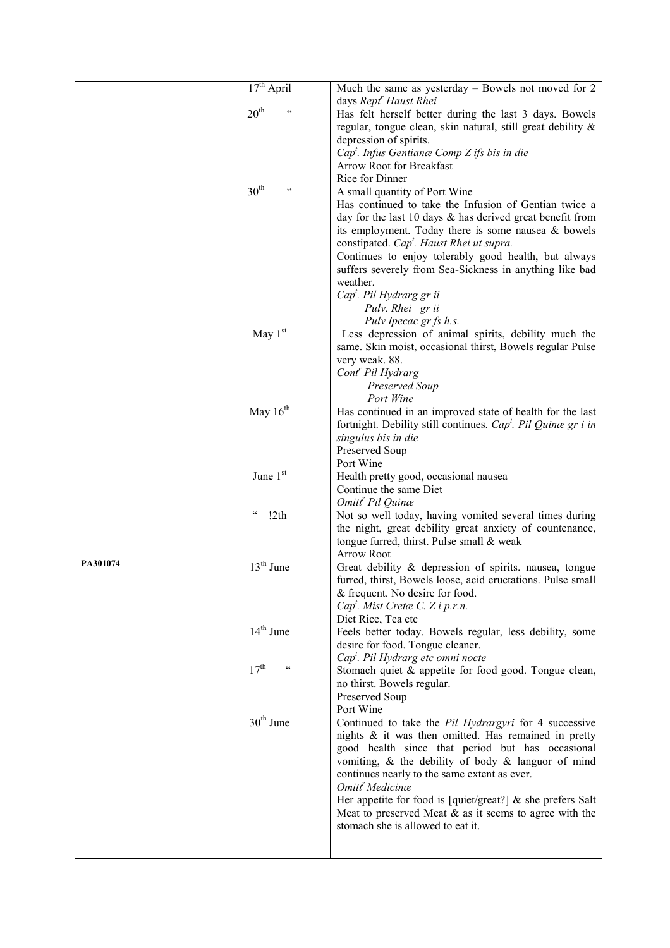|          | $17th$ April                      | Much the same as yesterday - Bowels not moved for 2                                                                   |
|----------|-----------------------------------|-----------------------------------------------------------------------------------------------------------------------|
|          |                                   | days Rept <sup>r</sup> Haust Rhei                                                                                     |
|          | $20^{\text{th}}$                  | Has felt herself better during the last 3 days. Bowels                                                                |
|          |                                   | regular, tongue clean, skin natural, still great debility &                                                           |
|          |                                   | depression of spirits.                                                                                                |
|          |                                   | $Capt$ . Infus Gentianæ Comp Z ifs bis in die                                                                         |
|          |                                   | Arrow Root for Breakfast                                                                                              |
|          |                                   | Rice for Dinner                                                                                                       |
|          | 30 <sup>th</sup><br>C C           | A small quantity of Port Wine                                                                                         |
|          |                                   | Has continued to take the Infusion of Gentian twice a                                                                 |
|          |                                   | day for the last 10 days $\&$ has derived great benefit from                                                          |
|          |                                   | its employment. Today there is some nausea $\&$ bowels                                                                |
|          |                                   | constipated. Cap <sup>t</sup> . Haust Rhei ut supra.                                                                  |
|          |                                   | Continues to enjoy tolerably good health, but always                                                                  |
|          |                                   | suffers severely from Sea-Sickness in anything like bad                                                               |
|          |                                   | weather.                                                                                                              |
|          |                                   | Cap <sup>t</sup> . Pil Hydrarg gr ii                                                                                  |
|          |                                   | Pulv. Rhei gr ii                                                                                                      |
|          |                                   | Pulv Ipecac gr fs h.s.                                                                                                |
|          | May $1st$                         | Less depression of animal spirits, debility much the                                                                  |
|          |                                   | same. Skin moist, occasional thirst, Bowels regular Pulse                                                             |
|          |                                   | very weak. 88.                                                                                                        |
|          |                                   | Cont <sup>r</sup> Pil Hydrarg                                                                                         |
|          |                                   | Preserved Soup                                                                                                        |
|          |                                   | Port Wine                                                                                                             |
|          | May $16th$                        | Has continued in an improved state of health for the last                                                             |
|          |                                   | fortnight. Debility still continues. Cap <sup>t</sup> . Pil Quinæ gr i in                                             |
|          |                                   | singulus bis in die                                                                                                   |
|          |                                   | Preserved Soup                                                                                                        |
|          |                                   | Port Wine                                                                                                             |
|          |                                   |                                                                                                                       |
|          | June 1st                          | Health pretty good, occasional nausea                                                                                 |
|          |                                   | Continue the same Diet                                                                                                |
|          | $\zeta$ $\zeta$                   | Omitt <sup>r</sup> Pil Quinæ                                                                                          |
|          | !2th                              | Not so well today, having vomited several times during                                                                |
|          |                                   | the night, great debility great anxiety of countenance,                                                               |
|          |                                   | tongue furred, thirst. Pulse small & weak                                                                             |
| PA301074 |                                   | <b>Arrow Root</b>                                                                                                     |
|          | $13th$ June                       | Great debility & depression of spirits. nausea, tongue<br>furred, thirst, Bowels loose, acid eructations. Pulse small |
|          |                                   | & frequent. No desire for food.                                                                                       |
|          |                                   | Cap <sup>t</sup> . Mist Cretæ C. Z i p.r.n.                                                                           |
|          |                                   | Diet Rice, Tea etc                                                                                                    |
|          | $14th$ June                       | Feels better today. Bowels regular, less debility, some                                                               |
|          |                                   | desire for food. Tongue cleaner.                                                                                      |
|          |                                   | Cap <sup>t</sup> . Pil Hydrarg etc omni nocte                                                                         |
|          | $17^{\text{th}}$<br>$\pmb{\zeta}$ | Stomach quiet & appetite for food good. Tongue clean,                                                                 |
|          |                                   | no thirst. Bowels regular.                                                                                            |
|          |                                   | Preserved Soup                                                                                                        |
|          |                                   | Port Wine                                                                                                             |
|          | $30th$ June                       | Continued to take the Pil Hydrargyri for 4 successive                                                                 |
|          |                                   | nights $\&$ it was then omitted. Has remained in pretty                                                               |
|          |                                   | good health since that period but has occasional                                                                      |
|          |                                   | vomiting, $\&$ the debility of body $\&$ languor of mind                                                              |
|          |                                   | continues nearly to the same extent as ever.                                                                          |
|          |                                   | Omitt <sup>'</sup> Medicinæ                                                                                           |
|          |                                   | Her appetite for food is [quiet/great?] $\&$ she prefers Salt                                                         |
|          |                                   | Meat to preserved Meat $\&$ as it seems to agree with the<br>stomach she is allowed to eat it.                        |
|          |                                   |                                                                                                                       |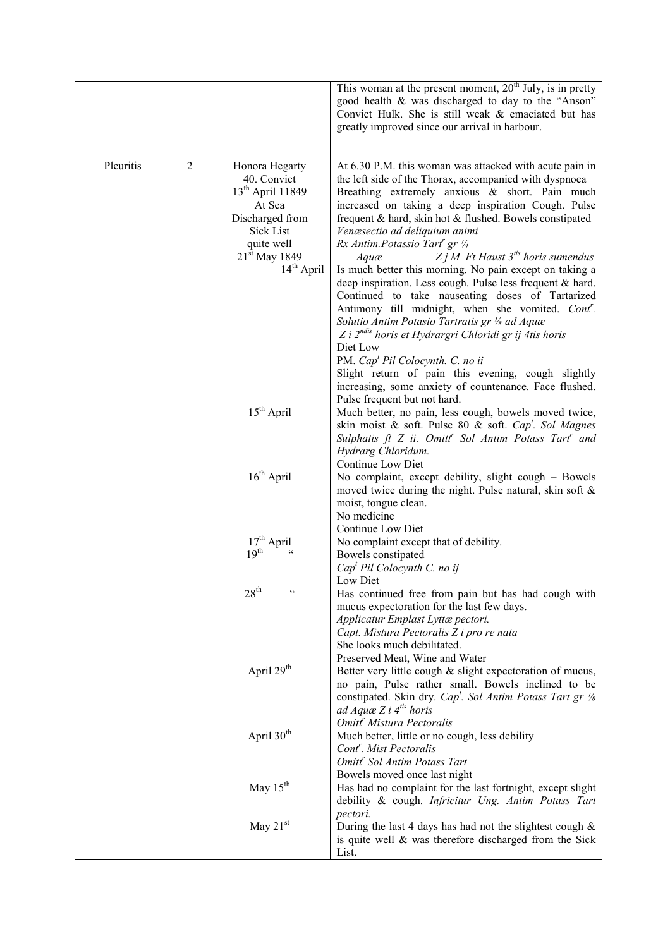|           |                |                                                                                                                                                                           | This woman at the present moment, 20 <sup>th</sup> July, is in pretty<br>good health & was discharged to day to the "Anson"<br>Convict Hulk. She is still weak & emaciated but has<br>greatly improved since our arrival in harbour.                                                                                                                                                                                                                                                                                                                                                                                                                                                                                                                                                                                                                                                                                                              |
|-----------|----------------|---------------------------------------------------------------------------------------------------------------------------------------------------------------------------|---------------------------------------------------------------------------------------------------------------------------------------------------------------------------------------------------------------------------------------------------------------------------------------------------------------------------------------------------------------------------------------------------------------------------------------------------------------------------------------------------------------------------------------------------------------------------------------------------------------------------------------------------------------------------------------------------------------------------------------------------------------------------------------------------------------------------------------------------------------------------------------------------------------------------------------------------|
| Pleuritis | $\mathfrak{2}$ | Honora Hegarty<br>40. Convict<br>13 <sup>th</sup> April 11849<br>At Sea<br>Discharged from<br><b>Sick List</b><br>quite well<br>21 <sup>st</sup> May 1849<br>$14th$ April | At 6.30 P.M. this woman was attacked with acute pain in<br>the left side of the Thorax, accompanied with dyspnoea<br>Breathing extremely anxious & short. Pain much<br>increased on taking a deep inspiration Cough. Pulse<br>frequent & hard, skin hot & flushed. Bowels constipated<br>Venæsectio ad deliquium animi<br>Rx Antim.Potassio Tart' gr 1/4<br>$Zj$ <b>M</b> -Ft Haust $3^{tis}$ horis sumendus<br>Aquæ<br>Is much better this morning. No pain except on taking a<br>deep inspiration. Less cough. Pulse less frequent & hard.<br>Continued to take nauseating doses of Tartarized<br>Antimony till midnight, when she vomited. Cont'.<br>Solutio Antim Potasio Tartratis gr 1/8 ad Aquæ<br>Z i $2^{ndis}$ horis et Hydrargri Chloridi gr ij 4tis horis<br>Diet Low<br>PM. Cap <sup>t</sup> Pil Colocynth. C. no ii<br>Slight return of pain this evening, cough slightly<br>increasing, some anxiety of countenance. Face flushed. |
|           |                | $15th$ April                                                                                                                                                              | Pulse frequent but not hard.<br>Much better, no pain, less cough, bowels moved twice,<br>skin moist & soft. Pulse 80 & soft. Cap <sup>t</sup> . Sol Magnes<br>Sulphatis ft Z ii. Omitt <sup>"</sup> Sol Antim Potass Tart <sup>"</sup> and<br>Hydrarg Chloridum.<br>Continue Low Diet                                                                                                                                                                                                                                                                                                                                                                                                                                                                                                                                                                                                                                                             |
|           |                | $16th$ April                                                                                                                                                              | No complaint, except debility, slight cough - Bowels<br>moved twice during the night. Pulse natural, skin soft &<br>moist, tongue clean.<br>No medicine                                                                                                                                                                                                                                                                                                                                                                                                                                                                                                                                                                                                                                                                                                                                                                                           |
|           |                | $17th$ April<br>19 <sup>th</sup>                                                                                                                                          | Continue Low Diet<br>No complaint except that of debility.<br>Bowels constipated<br>Cap <sup>t</sup> Pil Colocynth C. no ij                                                                                                                                                                                                                                                                                                                                                                                                                                                                                                                                                                                                                                                                                                                                                                                                                       |
|           |                | $28^{\text{th}}$<br>$\mathsf{c}\,\mathsf{c}$                                                                                                                              | Low Diet<br>Has continued free from pain but has had cough with<br>mucus expectoration for the last few days.<br>Applicatur Emplast Lyttæ pectori.<br>Capt. Mistura Pectoralis Z i pro re nata<br>She looks much debilitated.                                                                                                                                                                                                                                                                                                                                                                                                                                                                                                                                                                                                                                                                                                                     |
|           |                | April 29 <sup>th</sup>                                                                                                                                                    | Preserved Meat, Wine and Water<br>Better very little cough & slight expectoration of mucus,<br>no pain, Pulse rather small. Bowels inclined to be<br>constipated. Skin dry. Cap <sup>t</sup> . Sol Antim Potass Tart gr $\frac{1}{8}$<br>ad Aquæ Z i $4^{t}$ horis                                                                                                                                                                                                                                                                                                                                                                                                                                                                                                                                                                                                                                                                                |
|           |                | April 30 <sup>th</sup>                                                                                                                                                    | Omitt <sup>r</sup> Mistura Pectoralis<br>Much better, little or no cough, less debility<br>Cont <sup>r</sup> . Mist Pectoralis<br>Omitt <sup>r</sup> Sol Antim Potass Tart                                                                                                                                                                                                                                                                                                                                                                                                                                                                                                                                                                                                                                                                                                                                                                        |
|           |                | May 15 <sup>th</sup>                                                                                                                                                      | Bowels moved once last night<br>Has had no complaint for the last fortnight, except slight<br>debility & cough. Infricitur Ung. Antim Potass Tart                                                                                                                                                                                                                                                                                                                                                                                                                                                                                                                                                                                                                                                                                                                                                                                                 |
|           |                | May $21st$                                                                                                                                                                | pectori.<br>During the last 4 days has had not the slightest cough $\&$<br>is quite well & was therefore discharged from the Sick<br>List.                                                                                                                                                                                                                                                                                                                                                                                                                                                                                                                                                                                                                                                                                                                                                                                                        |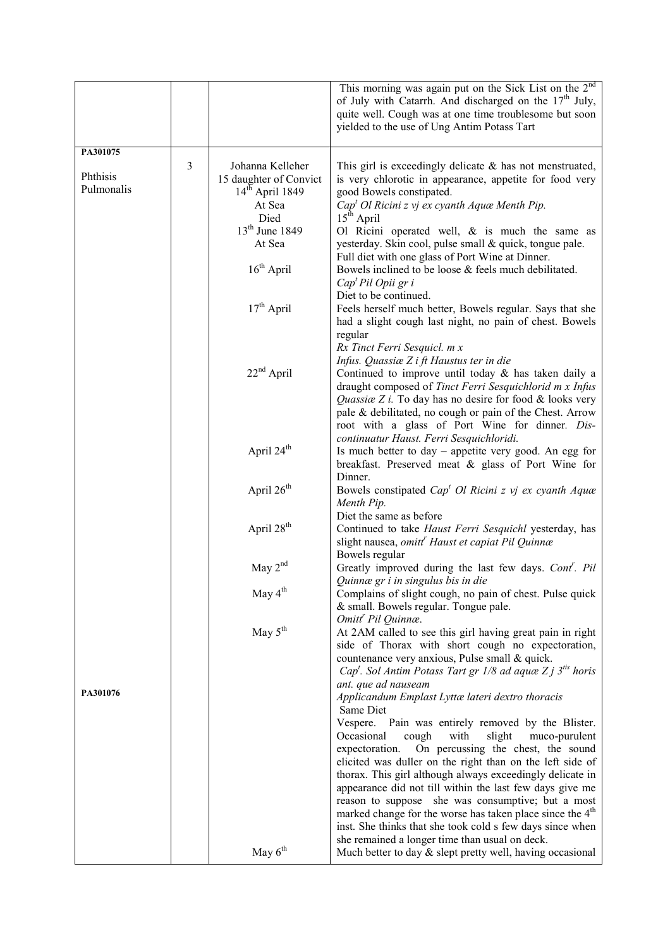|                        |   |                                                                                                       | This morning was again put on the Sick List on the 2 <sup>nd</sup><br>of July with Catarrh. And discharged on the $17th$ July,<br>quite well. Cough was at one time troublesome but soon<br>yielded to the use of Ung Antim Potass Tart                                                                                                                                                                                                                                                                                                                                                                    |
|------------------------|---|-------------------------------------------------------------------------------------------------------|------------------------------------------------------------------------------------------------------------------------------------------------------------------------------------------------------------------------------------------------------------------------------------------------------------------------------------------------------------------------------------------------------------------------------------------------------------------------------------------------------------------------------------------------------------------------------------------------------------|
| PA301075               |   |                                                                                                       |                                                                                                                                                                                                                                                                                                                                                                                                                                                                                                                                                                                                            |
| Phthisis<br>Pulmonalis | 3 | Johanna Kelleher<br>15 daughter of Convict<br>$14th$ April 1849<br>At Sea<br>Died<br>$13th$ June 1849 | This girl is exceedingly delicate $\&$ has not menstruated,<br>is very chlorotic in appearance, appetite for food very<br>good Bowels constipated.<br>$Capt Ol Ricini z vj ex cyanth Aque Menth Pip.$<br>15 <sup>th</sup> April<br>Ol Ricini operated well, $\&$ is much the same as                                                                                                                                                                                                                                                                                                                       |
|                        |   | At Sea<br>$16th$ April                                                                                | yesterday. Skin cool, pulse small & quick, tongue pale.<br>Full diet with one glass of Port Wine at Dinner.                                                                                                                                                                                                                                                                                                                                                                                                                                                                                                |
|                        |   |                                                                                                       | Bowels inclined to be loose & feels much debilitated.<br>Cap <sup>t</sup> Pil Opii gr i<br>Diet to be continued.                                                                                                                                                                                                                                                                                                                                                                                                                                                                                           |
|                        |   | $17th$ April                                                                                          | Feels herself much better, Bowels regular. Says that she<br>had a slight cough last night, no pain of chest. Bowels                                                                                                                                                                                                                                                                                                                                                                                                                                                                                        |
|                        |   | $22nd$ April                                                                                          | regular<br>Rx Tinct Ferri Sesquicl. m x<br>Infus. Quassiæ Z i ft Haustus ter in die<br>Continued to improve until today $\&$ has taken daily a<br>draught composed of Tinct Ferri Sesquichlorid m x Infus<br>Quassia Z i. To day has no desire for food $&$ looks very<br>pale & debilitated, no cough or pain of the Chest. Arrow                                                                                                                                                                                                                                                                         |
|                        |   | April 24 <sup>th</sup>                                                                                | root with a glass of Port Wine for dinner. Dis-<br>continuatur Haust. Ferri Sesquichloridi.<br>Is much better to day – appetite very good. An egg for<br>breakfast. Preserved meat & glass of Port Wine for                                                                                                                                                                                                                                                                                                                                                                                                |
|                        |   | April 26 <sup>th</sup>                                                                                | Dinner.<br>Bowels constipated $Capt Ol Ricini z vj ex cyanth Aque$<br>Menth Pip.                                                                                                                                                                                                                                                                                                                                                                                                                                                                                                                           |
|                        |   | April 28 <sup>th</sup>                                                                                | Diet the same as before<br>Continued to take Haust Ferri Sesquichl yesterday, has<br>slight nausea, omitt <sup>r</sup> Haust et capiat Pil Quinnæ<br>Bowels regular                                                                                                                                                                                                                                                                                                                                                                                                                                        |
|                        |   | May $2nd$                                                                                             | Greatly improved during the last few days. Cont'. Pil<br>Quinnæ gr i in singulus bis in die                                                                                                                                                                                                                                                                                                                                                                                                                                                                                                                |
|                        |   | May 4 <sup>th</sup>                                                                                   | Complains of slight cough, no pain of chest. Pulse quick<br>& small. Bowels regular. Tongue pale.<br>Omitt <sup>'</sup> Pil Quinnæ.                                                                                                                                                                                                                                                                                                                                                                                                                                                                        |
|                        |   | May $5th$                                                                                             | At 2AM called to see this girl having great pain in right<br>side of Thorax with short cough no expectoration,<br>countenance very anxious, Pulse small & quick.<br>Cap <sup>t</sup> . Sol Antim Potass Tart gr 1/8 ad aquæ Z j $3^{$ } horis                                                                                                                                                                                                                                                                                                                                                              |
| PA301076               |   |                                                                                                       | ant. que ad nauseam<br>Applicandum Emplast Lyttæ lateri dextro thoracis<br>Same Diet                                                                                                                                                                                                                                                                                                                                                                                                                                                                                                                       |
|                        |   |                                                                                                       | Vespere.<br>Pain was entirely removed by the Blister.<br>Occasional<br>cough<br>with<br>slight<br>muco-purulent<br>expectoration.<br>On percussing the chest, the sound<br>elicited was duller on the right than on the left side of<br>thorax. This girl although always exceedingly delicate in<br>appearance did not till within the last few days give me<br>reason to suppose she was consumptive; but a most<br>marked change for the worse has taken place since the 4 <sup>th</sup><br>inst. She thinks that she took cold s few days since when<br>she remained a longer time than usual on deck. |
|                        |   | May $6th$                                                                                             | Much better to day $\&$ slept pretty well, having occasional                                                                                                                                                                                                                                                                                                                                                                                                                                                                                                                                               |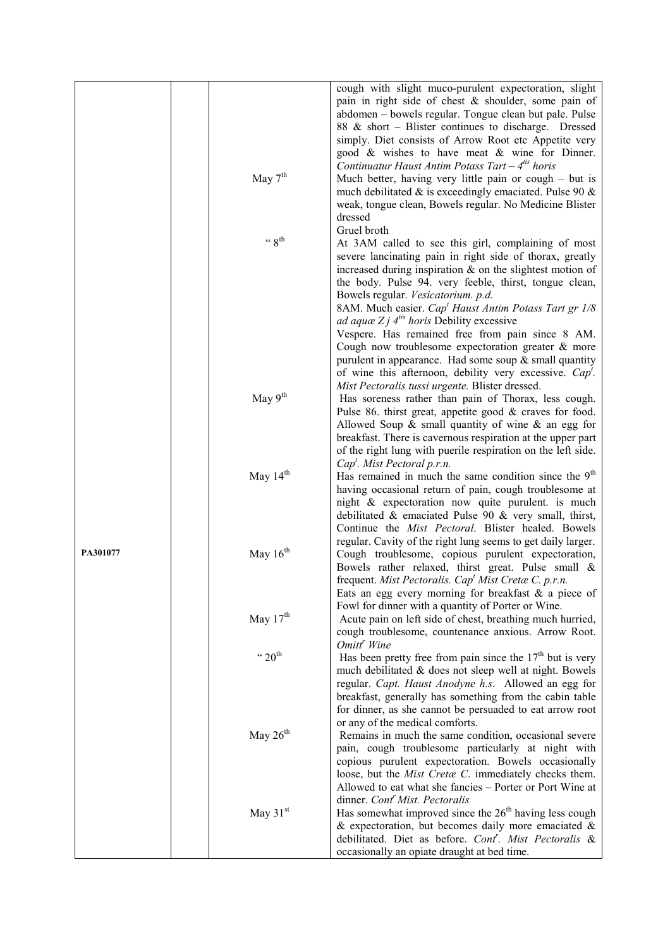|          |                                | cough with slight muco-purulent expectoration, slight                                                                                                                                |
|----------|--------------------------------|--------------------------------------------------------------------------------------------------------------------------------------------------------------------------------------|
|          |                                | pain in right side of chest $\&$ shoulder, some pain of<br>abdomen - bowels regular. Tongue clean but pale. Pulse<br>88 & short – Blister continues to discharge. Dressed            |
|          |                                | simply. Diet consists of Arrow Root etc Appetite very<br>good & wishes to have meat & wine for Dinner.                                                                               |
|          |                                | Continuatur Haust Antim Potass Tart $-4^{its}$ horis                                                                                                                                 |
|          | May $7th$                      | Much better, having very little pain or cough $-$ but is<br>much debilitated $\&$ is exceedingly emaciated. Pulse 90 $\&$<br>weak, tongue clean, Bowels regular. No Medicine Blister |
|          |                                | dressed                                                                                                                                                                              |
|          | $\leftarrow$ g <sup>th</sup>   | Gruel broth<br>At 3AM called to see this girl, complaining of most                                                                                                                   |
|          |                                | severe lancinating pain in right side of thorax, greatly                                                                                                                             |
|          |                                | increased during inspiration $\&$ on the slightest motion of                                                                                                                         |
|          |                                | the body. Pulse 94. very feeble, thirst, tongue clean,                                                                                                                               |
|          |                                | Bowels regular. Vesicatorium. p.d.<br>8AM. Much easier. Cap <sup>t</sup> Haust Antim Potass Tart gr 1/8                                                                              |
|          |                                | <i>ad aquæ Z j</i> $4^{i}$ <i>horis</i> Debility excessive                                                                                                                           |
|          |                                | Vespere. Has remained free from pain since 8 AM.                                                                                                                                     |
|          |                                | Cough now troublesome expectoration greater & more                                                                                                                                   |
|          |                                | purulent in appearance. Had some soup $&$ small quantity<br>of wine this afternoon, debility very excessive. $Capt$ .                                                                |
|          |                                | Mist Pectoralis tussi urgente. Blister dressed.                                                                                                                                      |
|          | May 9 <sup>th</sup>            | Has soreness rather than pain of Thorax, less cough.                                                                                                                                 |
|          |                                | Pulse 86. thirst great, appetite good $\&$ craves for food.<br>Allowed Soup $\&$ small quantity of wine $\&$ an egg for                                                              |
|          |                                | breakfast. There is cavernous respiration at the upper part                                                                                                                          |
|          |                                | of the right lung with puerile respiration on the left side.                                                                                                                         |
|          | May $14th$                     | $Capt$ . Mist Pectoral p.r.n.<br>Has remained in much the same condition since the $9th$                                                                                             |
|          |                                | having occasional return of pain, cough troublesome at                                                                                                                               |
|          |                                | night & expectoration now quite purulent. is much                                                                                                                                    |
|          |                                | debilitated & emaciated Pulse 90 & very small, thirst,<br>Continue the Mist Pectoral. Blister healed. Bowels                                                                         |
|          |                                | regular. Cavity of the right lung seems to get daily larger.                                                                                                                         |
| PA301077 | May $16th$                     | Cough troublesome, copious purulent expectoration,<br>Bowels rather relaxed, thirst great. Pulse small &                                                                             |
|          |                                | frequent. Mist Pectoralis. Cap <sup>t</sup> Mist Creta C. p.r.n.                                                                                                                     |
|          |                                | Eats an egg every morning for breakfast $\&$ a piece of<br>Fowl for dinner with a quantity of Porter or Wine.                                                                        |
|          | May $17^{\text{th}}$           | Acute pain on left side of chest, breathing much hurried,                                                                                                                            |
|          |                                | cough troublesome, countenance anxious. Arrow Root.<br>Omitt <sup>'</sup> Wine                                                                                                       |
|          | $\cdot \cdot 20$ <sup>th</sup> | Has been pretty free from pain since the $17th$ but is very                                                                                                                          |
|          |                                | much debilitated & does not sleep well at night. Bowels                                                                                                                              |
|          |                                | regular. Capt. Haust Anodyne h.s. Allowed an egg for<br>breakfast, generally has something from the cabin table                                                                      |
|          |                                | for dinner, as she cannot be persuaded to eat arrow root                                                                                                                             |
|          |                                | or any of the medical comforts.                                                                                                                                                      |
|          | May 26 <sup>th</sup>           | Remains in much the same condition, occasional severe<br>pain, cough troublesome particularly at night with                                                                          |
|          |                                | copious purulent expectoration. Bowels occasionally                                                                                                                                  |
|          |                                | loose, but the <i>Mist Cretæ C</i> . immediately checks them.                                                                                                                        |
|          |                                | Allowed to eat what she fancies – Porter or Port Wine at                                                                                                                             |
|          | May $31st$                     | dinner. Cont <sup>'</sup> Mist. Pectoralis<br>Has somewhat improved since the $26th$ having less cough                                                                               |
|          |                                | & expectoration, but becomes daily more emaciated $\&$                                                                                                                               |
|          |                                | debilitated. Diet as before. Cont <sup>r</sup> . Mist Pectoralis &                                                                                                                   |
|          |                                | occasionally an opiate draught at bed time.                                                                                                                                          |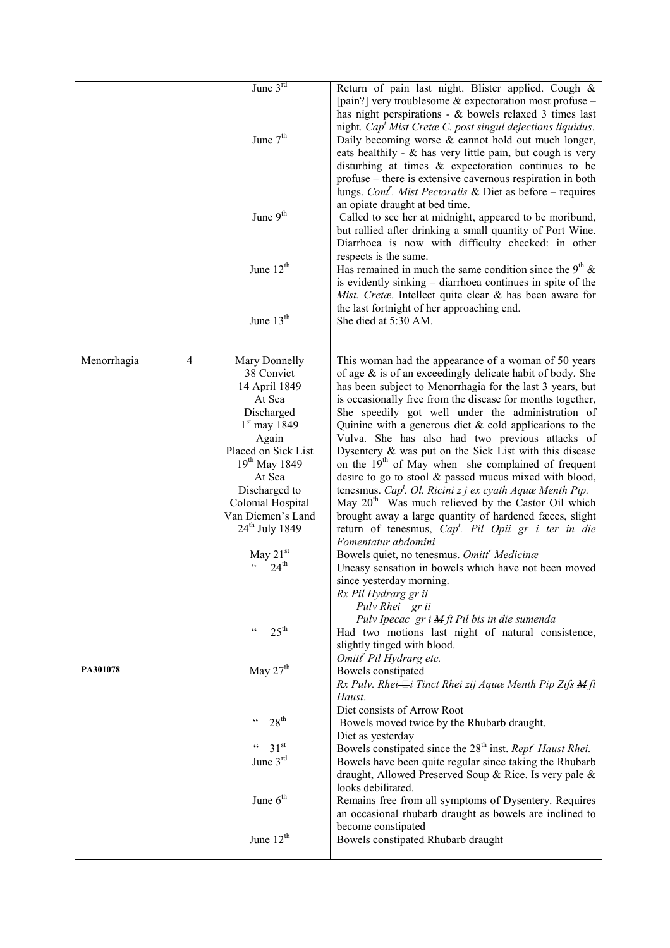|             |   | June 3rd                                                                              | Return of pain last night. Blister applied. Cough &                                                                                                                                                                                                                                                                                                                                                                                           |
|-------------|---|---------------------------------------------------------------------------------------|-----------------------------------------------------------------------------------------------------------------------------------------------------------------------------------------------------------------------------------------------------------------------------------------------------------------------------------------------------------------------------------------------------------------------------------------------|
|             |   | June 7 <sup>th</sup>                                                                  | [pain?] very troublesome $\&$ expectoration most profuse –<br>has night perspirations - $&$ bowels relaxed 3 times last<br>night. $Capt Mist Cretæ C. post singular dejections liquidus.$<br>Daily becoming worse $\&$ cannot hold out much longer,<br>eats healthily - $\&$ has very little pain, but cough is very<br>disturbing at times $\&$ expect oration continues to be<br>profuse – there is extensive cavernous respiration in both |
|             |   | June 9 <sup>th</sup>                                                                  | lungs. Cont <sup>r</sup> . Mist Pectoralis & Diet as before – requires<br>an opiate draught at bed time.<br>Called to see her at midnight, appeared to be moribund,<br>but rallied after drinking a small quantity of Port Wine.<br>Diarrhoea is now with difficulty checked: in other                                                                                                                                                        |
|             |   | June 12 <sup>th</sup>                                                                 | respects is the same.<br>Has remained in much the same condition since the $9th$ &<br>is evidently sinking – diarrhoea continues in spite of the<br>Mist. Cretæ. Intellect quite clear & has been aware for                                                                                                                                                                                                                                   |
|             |   | June 13 <sup>th</sup>                                                                 | the last fortnight of her approaching end.<br>She died at 5:30 AM.                                                                                                                                                                                                                                                                                                                                                                            |
| Menorrhagia | 4 | Mary Donnelly<br>38 Convict<br>14 April 1849<br>At Sea                                | This woman had the appearance of a woman of 50 years<br>of age $\&$ is of an exceedingly delicate habit of body. She<br>has been subject to Menorrhagia for the last 3 years, but<br>is occasionally free from the disease for months together,                                                                                                                                                                                               |
|             |   | Discharged<br>$1st$ may 1849<br>Again                                                 | She speedily got well under the administration of<br>Quinine with a generous diet $\&$ cold applications to the<br>Vulva. She has also had two previous attacks of                                                                                                                                                                                                                                                                            |
|             |   | Placed on Sick List<br>19 <sup>th</sup> May 1849                                      | Dysentery & was put on the Sick List with this disease<br>on the $19th$ of May when she complained of frequent                                                                                                                                                                                                                                                                                                                                |
|             |   | At Sea<br>Discharged to<br>Colonial Hospital<br>Van Diemen's Land<br>$24th$ July 1849 | desire to go to stool & passed mucus mixed with blood,<br>tenesmus. Cap <sup>t</sup> . Ol. Ricini z j ex cyath Aquae Menth Pip.<br>May 20 <sup>th</sup> Was much relieved by the Castor Oil which<br>brought away a large quantity of hardened faces, slight<br>return of tenesmus, $Capt$ . Pil Opii gr i ter in die                                                                                                                         |
|             |   | May $21st$<br>$24^{\text{th}}$                                                        | Fomentatur abdomini<br>Bowels quiet, no tenesmus. Omitt <sup>'</sup> Medicinæ<br>Uneasy sensation in bowels which have not been moved<br>since yesterday morning.<br>Rx Pil Hydrarg gr ii                                                                                                                                                                                                                                                     |
|             |   | $25^{\text{th}}$<br>$\zeta$ $\zeta$                                                   | Pulv Rhei gr ii<br>Pulv Ipecac gr i M ft Pil bis in die sumenda<br>Had two motions last night of natural consistence,<br>slightly tinged with blood.<br>Omitt <sup>r</sup> Pil Hydrarg etc.                                                                                                                                                                                                                                                   |
| PA301078    |   | May $27th$                                                                            | Bowels constipated<br>$Rx$ Pulv. Rhei $\rightleftarrows$ i Tinct Rhei zij Aquæ Menth Pip Zifs $M$ ft<br>Haust.                                                                                                                                                                                                                                                                                                                                |
|             |   | 28 <sup>th</sup><br>$\mathsf{cc}$                                                     | Diet consists of Arrow Root<br>Bowels moved twice by the Rhubarb draught.                                                                                                                                                                                                                                                                                                                                                                     |
|             |   | 31 <sup>st</sup><br>$\mathfrak{c} \mathfrak{c}$<br>June 3rd                           | Diet as yesterday<br>Bowels constipated since the 28 <sup>th</sup> inst. Rept <sup>r</sup> Haust Rhei.<br>Bowels have been quite regular since taking the Rhubarb<br>draught, Allowed Preserved Soup & Rice. Is very pale &                                                                                                                                                                                                                   |
|             |   | June $6th$                                                                            | looks debilitated.<br>Remains free from all symptoms of Dysentery. Requires<br>an occasional rhubarb draught as bowels are inclined to<br>become constipated                                                                                                                                                                                                                                                                                  |
|             |   | June $12th$                                                                           | Bowels constipated Rhubarb draught                                                                                                                                                                                                                                                                                                                                                                                                            |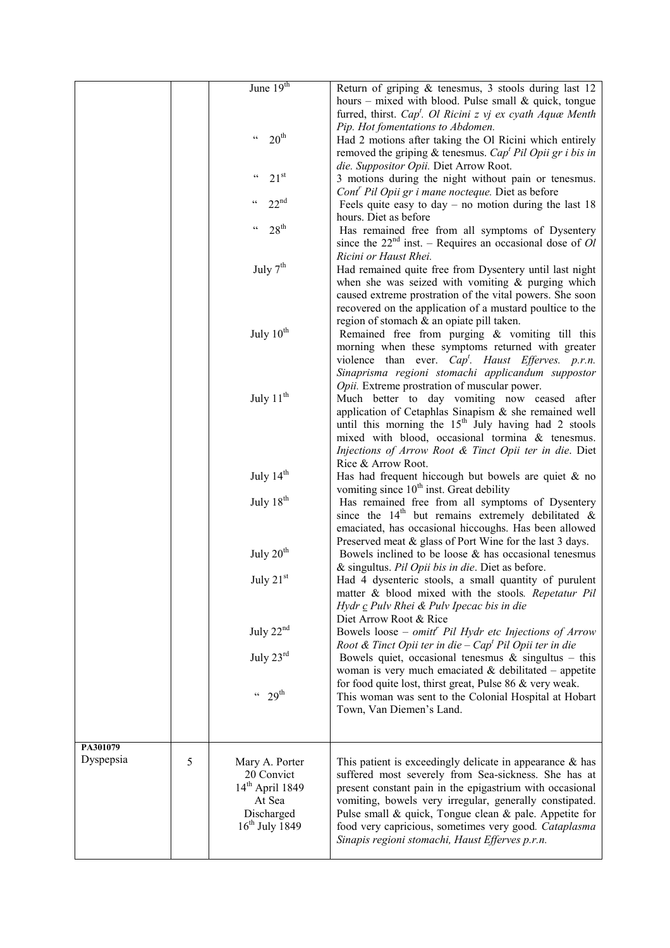|                       |   | June 19 <sup>th</sup>                                                 | Return of griping & tenesmus, 3 stools during last 12                                                                              |
|-----------------------|---|-----------------------------------------------------------------------|------------------------------------------------------------------------------------------------------------------------------------|
|                       |   |                                                                       | hours – mixed with blood. Pulse small $\&$ quick, tongue<br>furred, thirst. Cap <sup>t</sup> . Ol Ricini z vj ex cyath Aquae Menth |
|                       |   | 20 <sup>th</sup><br>$\boldsymbol{\varsigma}$ $\boldsymbol{\varsigma}$ | Pip. Hot fomentations to Abdomen.<br>Had 2 motions after taking the Ol Ricini which entirely                                       |
|                       |   |                                                                       | removed the griping & tenesmus. Cap <sup>t</sup> Pil Opii gr i bis in                                                              |
|                       |   |                                                                       | die. Suppositor Opii. Diet Arrow Root.                                                                                             |
|                       |   | 21 <sup>st</sup><br>$\epsilon$                                        | 3 motions during the night without pain or tenesmus.                                                                               |
|                       |   | $22^{nd}$<br>$\zeta$ $\zeta$                                          | Cont' Pil Opii gr i mane nocteque. Diet as before                                                                                  |
|                       |   |                                                                       | Feels quite easy to day – no motion during the last $18$<br>hours. Diet as before                                                  |
|                       |   | $28^{\text{th}}$<br>$\zeta$ $\zeta$                                   | Has remained free from all symptoms of Dysentery                                                                                   |
|                       |   |                                                                       | since the $22nd$ inst. – Requires an occasional dose of Ol                                                                         |
|                       |   |                                                                       | Ricini or Haust Rhei.                                                                                                              |
|                       |   | July $7th$                                                            | Had remained quite free from Dysentery until last night                                                                            |
|                       |   |                                                                       | when she was seized with vomiting $\&$ purging which<br>caused extreme prostration of the vital powers. She soon                   |
|                       |   |                                                                       | recovered on the application of a mustard poultice to the                                                                          |
|                       |   |                                                                       | region of stomach & an opiate pill taken.                                                                                          |
|                       |   | July 10 <sup>th</sup>                                                 | Remained free from purging & vomiting till this                                                                                    |
|                       |   |                                                                       | morning when these symptoms returned with greater<br>violence than ever. $Cap^t$ . Haust Efferves. p.r.n.                          |
|                       |   |                                                                       | Sinaprisma regioni stomachi applicandum suppostor                                                                                  |
|                       |   |                                                                       | Opii. Extreme prostration of muscular power.                                                                                       |
|                       |   | July 11 <sup>th</sup>                                                 | Much better to day vomiting now ceased after                                                                                       |
|                       |   |                                                                       | application of Cetaphlas Sinapism & she remained well<br>until this morning the $15th$ July having had 2 stools                    |
|                       |   |                                                                       | mixed with blood, occasional tormina & tenesmus.                                                                                   |
|                       |   |                                                                       | Injections of Arrow Root & Tinct Opii ter in die. Diet                                                                             |
|                       |   |                                                                       | Rice & Arrow Root.                                                                                                                 |
|                       |   | July 14 <sup>th</sup>                                                 | Has had frequent hiccough but bowels are quiet $\&$ no                                                                             |
|                       |   | July $18th$                                                           | vomiting since 10 <sup>th</sup> inst. Great debility<br>Has remained free from all symptoms of Dysentery                           |
|                       |   |                                                                       | since the $14th$ but remains extremely debilitated &                                                                               |
|                       |   |                                                                       | emaciated, has occasional hiccoughs. Has been allowed                                                                              |
|                       |   |                                                                       | Preserved meat & glass of Port Wine for the last 3 days.                                                                           |
|                       |   | July $20th$                                                           | Bowels inclined to be loose $\&$ has occasional tenesmus<br>& singultus. Pil Opii bis in die. Diet as before.                      |
|                       |   | July $21st$                                                           | Had 4 dysenteric stools, a small quantity of purulent                                                                              |
|                       |   |                                                                       | matter & blood mixed with the stools. Repetatur Pil                                                                                |
|                       |   |                                                                       | Hydr c Pulv Rhei & Pulv Ipecac bis in die                                                                                          |
|                       |   |                                                                       | Diet Arrow Root & Rice                                                                                                             |
|                       |   | July 22 <sup>nd</sup>                                                 | Bowels loose - omitt <sup>r</sup> Pil Hydr etc Injections of Arrow<br>Root & Tinct Opii ter in die $-Capt$ Pil Opii ter in die     |
|                       |   | July $23^{\text{rd}}$                                                 | Bowels quiet, occasional tenesmus $\&$ singultus – this                                                                            |
|                       |   |                                                                       | woman is very much emaciated $\&$ debilitated – appetite                                                                           |
|                       |   | $429$ <sup>th</sup>                                                   | for food quite lost, thirst great, Pulse 86 & very weak.                                                                           |
|                       |   |                                                                       | This woman was sent to the Colonial Hospital at Hobart<br>Town, Van Diemen's Land.                                                 |
|                       |   |                                                                       |                                                                                                                                    |
|                       |   |                                                                       |                                                                                                                                    |
| PA301079<br>Dyspepsia | 5 |                                                                       |                                                                                                                                    |
|                       |   | Mary A. Porter<br>20 Convict                                          | This patient is exceedingly delicate in appearance $\&$ has<br>suffered most severely from Sea-sickness. She has at                |
|                       |   | $14th$ April 1849                                                     | present constant pain in the epigastrium with occasional                                                                           |
|                       |   | At Sea                                                                | vomiting, bowels very irregular, generally constipated.                                                                            |
|                       |   | Discharged<br>$16th$ July 1849                                        | Pulse small $\&$ quick, Tongue clean $\&$ pale. Appetite for                                                                       |
|                       |   |                                                                       | food very capricious, sometimes very good. Cataplasma<br>Sinapis regioni stomachi, Haust Efferves p.r.n.                           |
|                       |   |                                                                       |                                                                                                                                    |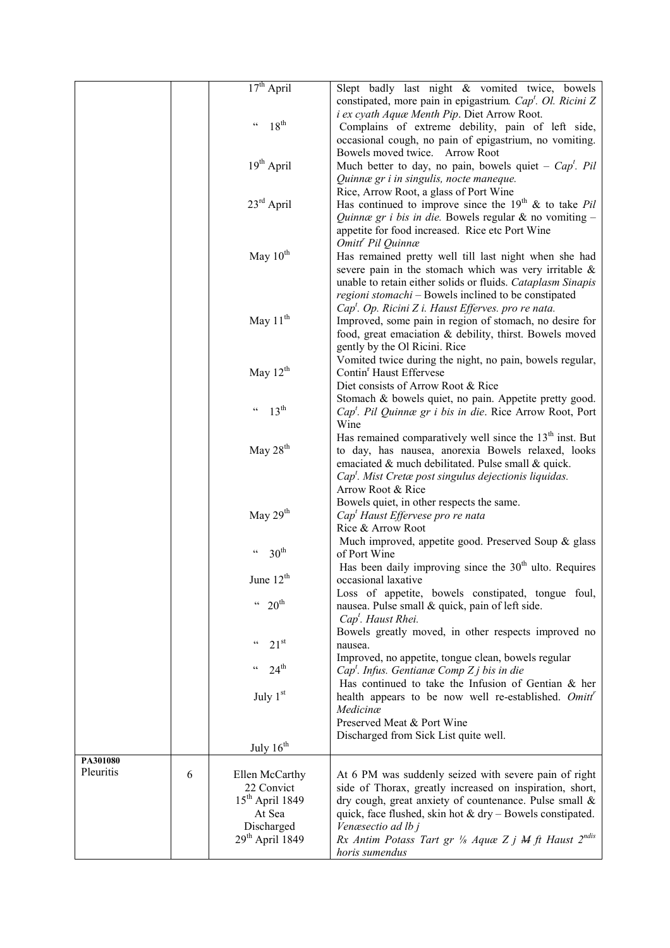|                       |   | $17th$ April                                     | Slept badly last night & vomited twice, bowels                                                                             |
|-----------------------|---|--------------------------------------------------|----------------------------------------------------------------------------------------------------------------------------|
|                       |   |                                                  | constipated, more pain in epigastrium. Cap <sup>t</sup> . Ol. Ricini Z<br>i ex cyath Aquæ Menth Pip. Diet Arrow Root.      |
|                       |   | $18^{th}$<br>$\mathfrak{c}\,\mathfrak{c}$        | Complains of extreme debility, pain of left side,<br>occasional cough, no pain of epigastrium, no vomiting.                |
|                       |   |                                                  | Bowels moved twice. Arrow Root                                                                                             |
|                       |   | 19 <sup>th</sup> April                           | Much better to day, no pain, bowels quiet – $Capt$ . Pil                                                                   |
|                       |   |                                                  | Quinnæ gr i in singulis, nocte maneque.<br>Rice, Arrow Root, a glass of Port Wine                                          |
|                       |   | $23^{\text{rd}}$ April                           | Has continued to improve since the $19th$ & to take Pil                                                                    |
|                       |   |                                                  | Quinnæ gr i bis in die. Bowels regular & no vomiting -                                                                     |
|                       |   |                                                  | appetite for food increased. Rice etc Port Wine<br>Omitt <sup>'</sup> Pil Quinnæ                                           |
|                       |   | May $10^{th}$                                    | Has remained pretty well till last night when she had                                                                      |
|                       |   |                                                  | severe pain in the stomach which was very irritable &                                                                      |
|                       |   |                                                  | unable to retain either solids or fluids. Cataplasm Sinapis                                                                |
|                       |   |                                                  | regioni stomachi - Bowels inclined to be constipated<br>$Capt$ . Op. Ricini Z i. Haust Efferves. pro re nata.              |
|                       |   | May $11^{th}$                                    | Improved, some pain in region of stomach, no desire for                                                                    |
|                       |   |                                                  | food, great emaciation & debility, thirst. Bowels moved                                                                    |
|                       |   |                                                  | gently by the Ol Ricini. Rice<br>Vomited twice during the night, no pain, bowels regular,                                  |
|                       |   | May $12^{th}$                                    | Contin <sup>r</sup> Haust Effervese                                                                                        |
|                       |   |                                                  | Diet consists of Arrow Root & Rice                                                                                         |
|                       |   | $13^{\text{th}}$<br>$\mathfrak{c}\,\mathfrak{c}$ | Stomach & bowels quiet, no pain. Appetite pretty good.                                                                     |
|                       |   |                                                  | Cap <sup>t</sup> . Pil Quinnæ gr i bis in die. Rice Arrow Root, Port<br>Wine                                               |
|                       |   |                                                  | Has remained comparatively well since the 13 <sup>th</sup> inst. But                                                       |
|                       |   | May $28th$                                       | to day, has nausea, anorexia Bowels relaxed, looks                                                                         |
|                       |   |                                                  | emaciated & much debilitated. Pulse small & quick.<br>Cap <sup>t</sup> . Mist Cretæ post singulus dejectionis liquidas.    |
|                       |   |                                                  | Arrow Root & Rice                                                                                                          |
|                       |   |                                                  | Bowels quiet, in other respects the same.                                                                                  |
|                       |   | May 29 <sup>th</sup>                             | Cap <sup>t</sup> Haust Effervese pro re nata<br>Rice & Arrow Root                                                          |
|                       |   |                                                  | Much improved, appetite good. Preserved Soup & glass                                                                       |
|                       |   | 30 <sup>th</sup><br>$\mathsf{c}\,\mathsf{c}$     | of Port Wine                                                                                                               |
|                       |   | June $12th$                                      | Has been daily improving since the $30th$ ulto. Requires<br>occasional laxative                                            |
|                       |   |                                                  | Loss of appetite, bowels constipated, tongue foul,                                                                         |
|                       |   | $44 \cdot 20^{th}$                               | nausea. Pulse small & quick, pain of left side.<br>Cap <sup>t</sup> . Haust Rhei.                                          |
|                       |   | $21^{st}$<br>$\mathsf{c}\,\mathsf{c}$            | Bowels greatly moved, in other respects improved no<br>nausea.                                                             |
|                       |   | $24^{\text{th}}$<br>$\subset$ $\subset$          | Improved, no appetite, tongue clean, bowels regular<br>$Capt$ . Infus. Gentianæ Comp Z j bis in die                        |
|                       |   | July $1st$                                       | Has continued to take the Infusion of Gentian $\&$ her<br>health appears to be now well re-established. Omitt <sup>r</sup> |
|                       |   |                                                  | Medicinæ<br>Preserved Meat & Port Wine                                                                                     |
|                       |   |                                                  | Discharged from Sick List quite well.                                                                                      |
|                       |   | July 16 <sup>th</sup>                            |                                                                                                                            |
| PA301080<br>Pleuritis | 6 | Ellen McCarthy                                   | At 6 PM was suddenly seized with severe pain of right                                                                      |
|                       |   | 22 Convict                                       | side of Thorax, greatly increased on inspiration, short,                                                                   |
|                       |   | $15th$ April 1849                                | dry cough, great anxiety of countenance. Pulse small &                                                                     |
|                       |   | At Sea<br>Discharged                             | quick, face flushed, skin hot $&$ dry – Bowels constipated.<br>Venæsectio ad lb j                                          |
|                       |   | $29th$ April 1849                                | Rx Antim Potass Tart gr 1/8 Aquæ Z j M ft Haust 2ndis                                                                      |
|                       |   |                                                  | horis sumendus                                                                                                             |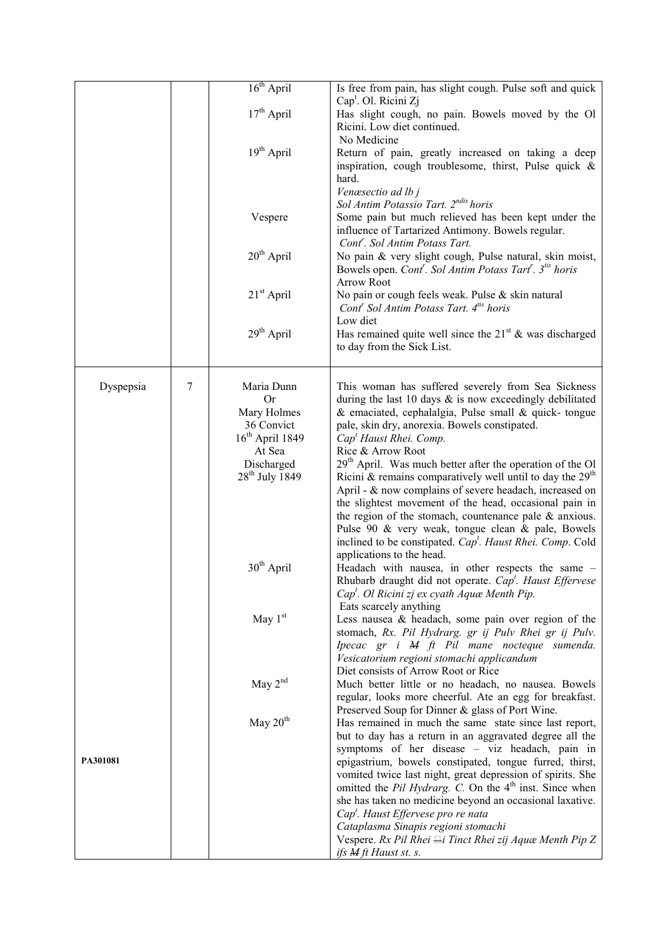|           |   | 16 <sup>th</sup> April     | Is free from pain, has slight cough. Pulse soft and quick                                                              |
|-----------|---|----------------------------|------------------------------------------------------------------------------------------------------------------------|
|           |   |                            | Cap <sup>t</sup> . Ol. Ricini Zj                                                                                       |
|           |   | $17th$ April               | Has slight cough, no pain. Bowels moved by the Ol                                                                      |
|           |   |                            | Ricini. Low diet continued.<br>No Medicine                                                                             |
|           |   | 19 <sup>th</sup> April     | Return of pain, greatly increased on taking a deep                                                                     |
|           |   |                            | inspiration, cough troublesome, thirst, Pulse quick $\&$                                                               |
|           |   |                            | hard.                                                                                                                  |
|           |   |                            | Venæsectio ad lb j<br>Sol Antim Potassio Tart. 2 <sup>ndis</sup> horis                                                 |
|           |   | Vespere                    | Some pain but much relieved has been kept under the                                                                    |
|           |   |                            | influence of Tartarized Antimony. Bowels regular.<br>Cont <sup>r</sup> . Sol Antim Potass Tart.                        |
|           |   | $20th$ April               | No pain & very slight cough, Pulse natural, skin moist,                                                                |
|           |   |                            | Bowels open. Cont <sup>r</sup> . Sol Antim Potass Tart <sup>r</sup> . 3 <sup>tis</sup> horis                           |
|           |   |                            | <b>Arrow Root</b>                                                                                                      |
|           |   | $21st$ April               | No pain or cough feels weak. Pulse & skin natural<br>Cont <sup>r</sup> Sol Antim Potass Tart. 4 <sup>tis</sup> horis   |
|           |   | 29 <sup>th</sup> April     | Low diet<br>Has remained quite well since the $21^{st}$ & was discharged                                               |
|           |   |                            | to day from the Sick List.                                                                                             |
|           |   |                            |                                                                                                                        |
| Dyspepsia | 7 | Maria Dunn<br><b>Or</b>    | This woman has suffered severely from Sea Sickness<br>during the last 10 days $\&$ is now exceedingly debilitated      |
|           |   | Mary Holmes                | $\&$ emaciated, cephalalgia, Pulse small $\&$ quick-tongue                                                             |
|           |   | 36 Convict                 | pale, skin dry, anorexia. Bowels constipated.                                                                          |
|           |   | $16th$ April 1849          | Cap <sup>t</sup> Haust Rhei. Comp.                                                                                     |
|           |   | At Sea                     | Rice & Arrow Root                                                                                                      |
|           |   | Discharged                 | $29th$ April. Was much better after the operation of the Ol                                                            |
|           |   | 28 <sup>th</sup> July 1849 | Ricini & remains comparatively well until to day the $29th$<br>April - & now complains of severe headach, increased on |
|           |   |                            | the slightest movement of the head, occasional pain in                                                                 |
|           |   |                            | the region of the stomach, countenance pale $\&$ anxious.<br>Pulse 90 & very weak, tongue clean & pale, Bowels         |
|           |   |                            | inclined to be constipated. Cap <sup>t</sup> . Haust Rhei. Comp. Cold                                                  |
|           |   |                            | applications to the head.                                                                                              |
|           |   | $30th$ April               | Headach with nausea, in other respects the same -                                                                      |
|           |   |                            | Rhubarb draught did not operate. Cap <sup>t</sup> . Haust Effervese                                                    |
|           |   |                            | Cap <sup>t</sup> . Ol Ricini zj ex cyath Aquæ Menth Pip.                                                               |
|           |   | May $1st$                  | Eats scarcely anything<br>Less nausea $\&$ headach, some pain over region of the                                       |
|           |   |                            | stomach, Rx. Pil Hydrarg. gr ij Pulv Rhei gr ij Pulv.                                                                  |
|           |   |                            | Ipecac gr i M ft Pil mane nocteque sumenda.                                                                            |
|           |   |                            | Vesicatorium regioni stomachi applicandum                                                                              |
|           |   |                            | Diet consists of Arrow Root or Rice                                                                                    |
|           |   | May 2 <sup>nd</sup>        | Much better little or no headach, no nausea. Bowels                                                                    |
|           |   |                            | regular, looks more cheerful. Ate an egg for breakfast.                                                                |
|           |   | May 20 <sup>th</sup>       | Preserved Soup for Dinner & glass of Port Wine.<br>Has remained in much the same state since last report,              |
|           |   |                            | but to day has a return in an aggravated degree all the                                                                |
|           |   |                            | symptoms of her disease - viz headach, pain in                                                                         |
| PA301081  |   |                            | epigastrium, bowels constipated, tongue furred, thirst,                                                                |
|           |   |                            | vomited twice last night, great depression of spirits. She                                                             |
|           |   |                            | omitted the <i>Pil Hydrarg. C.</i> On the 4 <sup>th</sup> inst. Since when                                             |
|           |   |                            | she has taken no medicine beyond an occasional laxative.<br>Cap <sup>t</sup> . Haust Effervese pro re nata             |
|           |   |                            | Cataplasma Sinapis regioni stomachi                                                                                    |
|           |   |                            | Vespere. Rx Pil Rhei $\rightleftharpoons$ i Tinct Rhei zij Aquæ Menth Pip Z                                            |
|           |   |                            | ifs <i>M</i> ft Haust st. s.                                                                                           |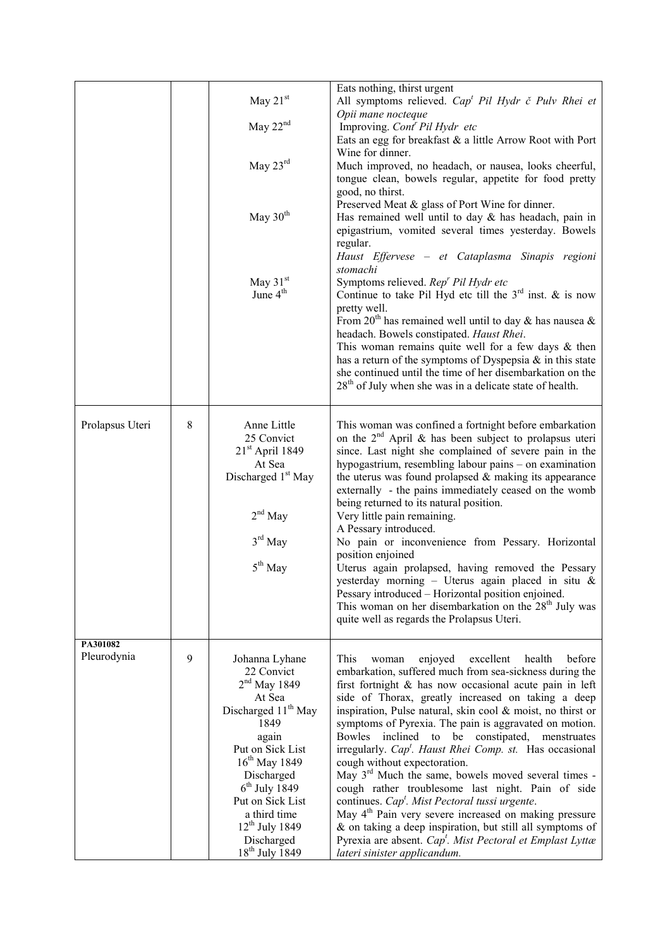|                         |   | May $21st$<br>May $22nd$<br>May $23^{\text{rd}}$<br>May $30th$                                                                                                                                                                                                                       | Eats nothing, thirst urgent<br>All symptoms relieved. $Capt$ Pil Hydr č Pulv Rhei et<br>Opii mane nocteque<br>Improving. Cont <sup>r</sup> Pil Hydr etc<br>Eats an egg for breakfast & a little Arrow Root with Port<br>Wine for dinner.<br>Much improved, no headach, or nausea, looks cheerful,<br>tongue clean, bowels regular, appetite for food pretty<br>good, no thirst.<br>Preserved Meat & glass of Port Wine for dinner.<br>Has remained well until to day $&$ has headach, pain in<br>epigastrium, vomited several times yesterday. Bowels<br>regular.<br>Haust Effervese - et Cataplasma Sinapis regioni                                                                                                                                                                                                                                                                                                                         |
|-------------------------|---|--------------------------------------------------------------------------------------------------------------------------------------------------------------------------------------------------------------------------------------------------------------------------------------|----------------------------------------------------------------------------------------------------------------------------------------------------------------------------------------------------------------------------------------------------------------------------------------------------------------------------------------------------------------------------------------------------------------------------------------------------------------------------------------------------------------------------------------------------------------------------------------------------------------------------------------------------------------------------------------------------------------------------------------------------------------------------------------------------------------------------------------------------------------------------------------------------------------------------------------------|
|                         |   | May 31 <sup>st</sup><br>June 4 <sup>th</sup>                                                                                                                                                                                                                                         | stomachi<br>Symptoms relieved. Rep <sup>r</sup> Pil Hydr etc<br>Continue to take Pil Hyd etc till the $3^{rd}$ inst. & is now<br>pretty well.<br>From 20 <sup>th</sup> has remained well until to day & has nausea &<br>headach. Bowels constipated. Haust Rhei.<br>This woman remains quite well for a few days $\&$ then<br>has a return of the symptoms of Dyspepsia $\&$ in this state<br>she continued until the time of her disembarkation on the<br>$28th$ of July when she was in a delicate state of health.                                                                                                                                                                                                                                                                                                                                                                                                                        |
| Prolapsus Uteri         | 8 | Anne Little<br>25 Convict<br>$21st$ April 1849<br>At Sea<br>Discharged 1 <sup>st</sup> May<br>$2nd$ May<br>$3rd$ May<br>$5th$ May                                                                                                                                                    | This woman was confined a fortnight before embarkation<br>on the $2nd$ April & has been subject to prolapsus uteri<br>since. Last night she complained of severe pain in the<br>hypogastrium, resembling labour pains – on examination<br>the uterus was found prolapsed $&$ making its appearance<br>externally - the pains immediately ceased on the womb<br>being returned to its natural position.<br>Very little pain remaining.<br>A Pessary introduced.<br>No pain or inconvenience from Pessary. Horizontal<br>position enjoined<br>Uterus again prolapsed, having removed the Pessary<br>yesterday morning - Uterus again placed in situ &<br>Pessary introduced - Horizontal position enjoined.<br>This woman on her disembarkation on the 28 <sup>th</sup> July was<br>quite well as regards the Prolapsus Uteri.                                                                                                                 |
| PA301082<br>Pleurodynia | 9 | Johanna Lyhane<br>22 Convict<br>$2nd$ May 1849<br>At Sea<br>Discharged 11 <sup>th</sup> May<br>1849<br>again<br>Put on Sick List<br>$16^{th}$ May 1849<br>Discharged<br>$6th$ July 1849<br>Put on Sick List<br>a third time<br>$12^{th}$ July 1849<br>Discharged<br>$18th$ July 1849 | This<br>excellent<br>health<br>before<br>enjoyed<br>woman<br>embarkation, suffered much from sea-sickness during the<br>first fortnight $\&$ has now occasional acute pain in left<br>side of Thorax, greatly increased on taking a deep<br>inspiration, Pulse natural, skin cool & moist, no thirst or<br>symptoms of Pyrexia. The pain is aggravated on motion.<br>inclined<br>constipated,<br>Bowles<br>to<br>be<br>menstruates<br>irregularly. $Capt$ . Haust Rhei Comp. st. Has occasional<br>cough without expectoration.<br>May $3rd$ Much the same, bowels moved several times -<br>cough rather troublesome last night. Pain of side<br>continues. $Capt$ . Mist Pectoral tussi urgente.<br>May 4 <sup>th</sup> Pain very severe increased on making pressure<br>& on taking a deep inspiration, but still all symptoms of<br>Pyrexia are absent. Cap <sup>t</sup> . Mist Pectoral et Emplast Lyttæ<br>lateri sinister applicandum. |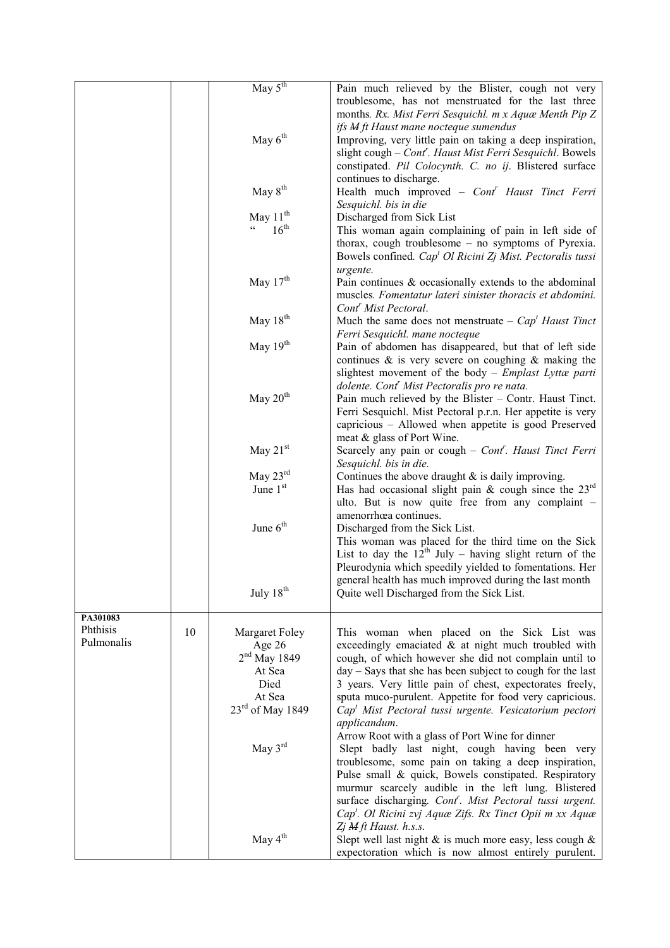|            |    | May $5th$                                         | Pain much relieved by the Blister, cough not very<br>troublesome, has not menstruated for the last three<br>months. Rx. Mist Ferri Sesquichl. m x Aquæ Menth Pip Z                                                                                                                                |
|------------|----|---------------------------------------------------|---------------------------------------------------------------------------------------------------------------------------------------------------------------------------------------------------------------------------------------------------------------------------------------------------|
|            |    | May $6th$                                         | ifs <b>M</b> ft Haust mane nocteque sumendus<br>Improving, very little pain on taking a deep inspiration,<br>slight cough – Cont'. Haust Mist Ferri Sesquichl. Bowels<br>constipated. Pil Colocynth. C. no ij. Blistered surface                                                                  |
|            |    | May $8th$                                         | continues to discharge.<br>Health much improved - Cont <sup>r</sup> Haust Tinct Ferri<br>Sesquichl. bis in die                                                                                                                                                                                    |
|            |    | May $11th$                                        | Discharged from Sick List                                                                                                                                                                                                                                                                         |
|            |    | $16^{\text{th}}$<br>$\mathfrak{c}$ $\mathfrak{c}$ | This woman again complaining of pain in left side of<br>thorax, cough troublesome – no symptoms of Pyrexia.<br>Bowels confined. Cap <sup>t</sup> Ol Ricini Zj Mist. Pectoralis tussi                                                                                                              |
|            |    | May $17^{\text{th}}$                              | urgente.<br>Pain continues & occasionally extends to the abdominal<br>muscles. Fomentatur lateri sinister thoracis et abdomini.<br>Cont <sup>r</sup> Mist Pectoral.                                                                                                                               |
|            |    | May $18th$                                        | Much the same does not menstruate – $Capt$ Haust Tinct<br>Ferri Sesquichl. mane nocteque                                                                                                                                                                                                          |
|            |    | May 19th                                          | Pain of abdomen has disappeared, but that of left side<br>continues $\&$ is very severe on coughing $\&$ making the<br>slightest movement of the body – Emplast Lyttæ parti<br>dolente. Cont <sup>r</sup> Mist Pectoralis pro re nata.                                                            |
|            |    | May 20 <sup>th</sup>                              | Pain much relieved by the Blister – Contr. Haust Tinct.<br>Ferri Sesquichl. Mist Pectoral p.r.n. Her appetite is very<br>capricious – Allowed when appetite is good Preserved<br>meat & glass of Port Wine.                                                                                       |
|            |    | May $21st$                                        | Scarcely any pain or cough $-$ Cont <sup>r</sup> . Haust Tinct Ferri<br>Sesquichl. bis in die.                                                                                                                                                                                                    |
|            |    | May $23^{\text{rd}}$                              | Continues the above draught $\&$ is daily improving.                                                                                                                                                                                                                                              |
|            |    | June 1st                                          | Has had occasional slight pain & cough since the $23^{\text{rd}}$<br>ulto. But is now quite free from any complaint -                                                                                                                                                                             |
|            |    | June $6th$                                        | amenorrhœa continues.<br>Discharged from the Sick List.<br>This woman was placed for the third time on the Sick<br>List to day the $12th$ July – having slight return of the<br>Pleurodynia which speedily yielded to fomentations. Her<br>general health has much improved during the last month |
|            |    | July 18 <sup>th</sup>                             | Quite well Discharged from the Sick List.                                                                                                                                                                                                                                                         |
| PA301083   |    |                                                   |                                                                                                                                                                                                                                                                                                   |
| Phthisis   | 10 | Margaret Foley                                    | This woman when placed on the Sick List was                                                                                                                                                                                                                                                       |
| Pulmonalis |    | Age 26                                            | exceedingly emaciated $\&$ at night much troubled with                                                                                                                                                                                                                                            |
|            |    | $2nd$ May 1849                                    | cough, of which however she did not complain until to                                                                                                                                                                                                                                             |
|            |    | At Sea                                            | $day - Says$ that she has been subject to cough for the last                                                                                                                                                                                                                                      |
|            |    | Died                                              | 3 years. Very little pain of chest, expectorates freely,                                                                                                                                                                                                                                          |
|            |    | At Sea                                            | sputa muco-purulent. Appetite for food very capricious.                                                                                                                                                                                                                                           |
|            |    | 23rd of May 1849                                  | Cap <sup>t</sup> Mist Pectoral tussi urgente. Vesicatorium pectori<br>applicandum.                                                                                                                                                                                                                |
|            |    | May 3rd                                           | Arrow Root with a glass of Port Wine for dinner<br>Slept badly last night, cough having been very<br>troublesome, some pain on taking a deep inspiration,                                                                                                                                         |
|            |    |                                                   | Pulse small & quick, Bowels constipated. Respiratory<br>murmur scarcely audible in the left lung. Blistered<br>surface discharging. Cont'. Mist Pectoral tussi urgent.<br>Cap <sup>t</sup> . Ol Ricini zvj Aquæ Zifs. Rx Tinct Opii m xx Aquæ                                                     |
|            |    | May 4 <sup>th</sup>                               | Zj M ft Haust. h.s.s.<br>Slept well last night $\&$ is much more easy, less cough $\&$<br>expectoration which is now almost entirely purulent.                                                                                                                                                    |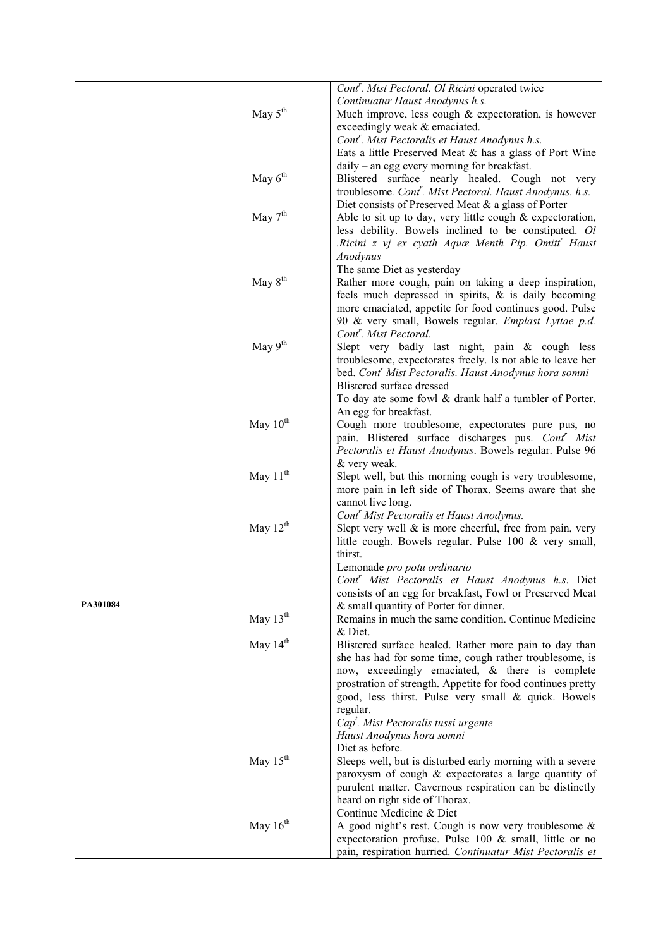|          |                      | Cont <sup>r</sup> . Mist Pectoral. Ol Ricini operated twice          |
|----------|----------------------|----------------------------------------------------------------------|
|          |                      | Continuatur Haust Anodynus h.s.                                      |
|          | May $5^{\text{th}}$  | Much improve, less cough & expectoration, is however                 |
|          |                      | exceedingly weak & emaciated.                                        |
|          |                      | Cont <sup>r</sup> . Mist Pectoralis et Haust Anodynus h.s.           |
|          |                      | Eats a little Preserved Meat & has a glass of Port Wine              |
|          |                      | daily – an egg every morning for breakfast.                          |
|          | May $6th$            | Blistered surface nearly healed. Cough not very                      |
|          |                      | troublesome. Cont <sup>r</sup> . Mist Pectoral. Haust Anodynus. h.s. |
|          |                      | Diet consists of Preserved Meat & a glass of Porter                  |
|          | May $7th$            | Able to sit up to day, very little cough $&$ expectoration,          |
|          |                      | less debility. Bowels inclined to be constipated. Ol                 |
|          |                      | .Ricini z vj ex cyath Aquæ Menth Pip. Omitt' Haust                   |
|          |                      | Anodynus                                                             |
|          |                      | The same Diet as yesterday                                           |
|          | May 8 <sup>th</sup>  | Rather more cough, pain on taking a deep inspiration,                |
|          |                      | feels much depressed in spirits, $\&$ is daily becoming              |
|          |                      | more emaciated, appetite for food continues good. Pulse              |
|          |                      | 90 & very small, Bowels regular. Emplast Lyttae p.d.                 |
|          |                      | Cont <sup>r</sup> . Mist Pectoral.                                   |
|          | May 9 <sup>th</sup>  | Slept very badly last night, pain & cough less                       |
|          |                      | troublesome, expectorates freely. Is not able to leave her           |
|          |                      | bed. Cont <sup>r</sup> Mist Pectoralis. Haust Anodynus hora somni    |
|          |                      | Blistered surface dressed                                            |
|          |                      | To day ate some fowl & drank half a tumbler of Porter.               |
|          |                      | An egg for breakfast.                                                |
|          | May 10 <sup>th</sup> | Cough more troublesome, expectorates pure pus, no                    |
|          |                      | pain. Blistered surface discharges pus. Cont <sup>r</sup> Mist       |
|          |                      | Pectoralis et Haust Anodynus. Bowels regular. Pulse 96               |
|          |                      | & very weak.                                                         |
|          | May $11^{th}$        | Slept well, but this morning cough is very troublesome,              |
|          |                      | more pain in left side of Thorax. Seems aware that she               |
|          |                      | cannot live long.                                                    |
|          |                      | Cont <sup>r</sup> Mist Pectoralis et Haust Anodynus.                 |
|          | May $12th$           | Slept very well $\&$ is more cheerful, free from pain, very          |
|          |                      | little cough. Bowels regular. Pulse 100 & very small,<br>thirst.     |
|          |                      | Lemonade pro potu ordinario                                          |
|          |                      | Cont <sup>r</sup> Mist Pectoralis et Haust Anodynus h.s. Diet        |
|          |                      | consists of an egg for breakfast, Fowl or Preserved Meat             |
| PA301084 |                      | & small quantity of Porter for dinner.                               |
|          | May $13th$           | Remains in much the same condition. Continue Medicine                |
|          |                      | & Diet.                                                              |
|          | May $14th$           | Blistered surface healed. Rather more pain to day than               |
|          |                      | she has had for some time, cough rather troublesome, is              |
|          |                      | now, exceedingly emaciated, & there is complete                      |
|          |                      | prostration of strength. Appetite for food continues pretty          |
|          |                      | good, less thirst. Pulse very small & quick. Bowels                  |
|          |                      | regular.                                                             |
|          |                      | $Capt$ . Mist Pectoralis tussi urgente                               |
|          |                      | Haust Anodynus hora somni                                            |
|          |                      | Diet as before.                                                      |
|          | May $15th$           | Sleeps well, but is disturbed early morning with a severe            |
|          |                      | paroxysm of cough & expectorates a large quantity of                 |
|          |                      | purulent matter. Cavernous respiration can be distinctly             |
|          |                      | heard on right side of Thorax.                                       |
|          |                      | Continue Medicine & Diet                                             |
|          | May $16th$           | A good night's rest. Cough is now very troublesome $\&$              |
|          |                      | expectoration profuse. Pulse 100 & small, little or no               |
|          |                      | pain, respiration hurried. Continuatur Mist Pectoralis et            |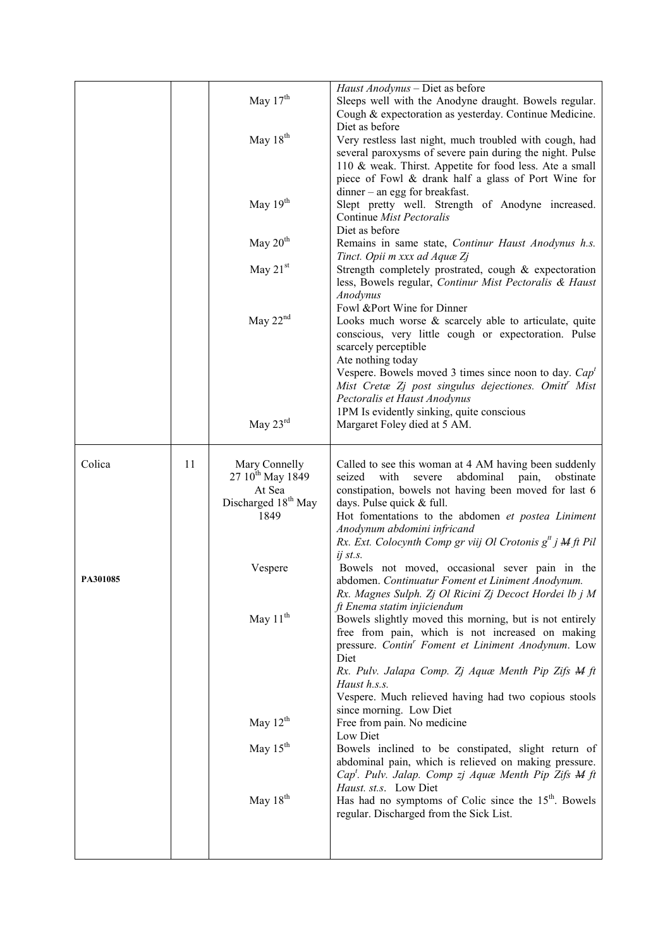|          |    | May $17th$                                                                                         | Haust Anodynus - Diet as before<br>Sleeps well with the Anodyne draught. Bowels regular.<br>Cough & expectoration as yesterday. Continue Medicine.                                                                                                                                                                                                                                 |
|----------|----|----------------------------------------------------------------------------------------------------|------------------------------------------------------------------------------------------------------------------------------------------------------------------------------------------------------------------------------------------------------------------------------------------------------------------------------------------------------------------------------------|
|          |    | May $18th$                                                                                         | Diet as before<br>Very restless last night, much troubled with cough, had<br>several paroxysms of severe pain during the night. Pulse<br>110 & weak. Thirst. Appetite for food less. Ate a small<br>piece of Fowl & drank half a glass of Port Wine for                                                                                                                            |
|          |    | May $19th$                                                                                         | $dinner - an egg for breakfast.$<br>Slept pretty well. Strength of Anodyne increased.<br>Continue Mist Pectoralis                                                                                                                                                                                                                                                                  |
|          |    | May $20th$                                                                                         | Diet as before<br>Remains in same state, Continur Haust Anodynus h.s.<br>Tinct. Opii m xxx ad Aquæ Zj                                                                                                                                                                                                                                                                              |
|          |    | May $21st$                                                                                         | Strength completely prostrated, cough & expectoration<br>less, Bowels regular, Continur Mist Pectoralis & Haust<br>Anodynus                                                                                                                                                                                                                                                        |
|          |    | May $22nd$                                                                                         | Fowl &Port Wine for Dinner<br>Looks much worse & scarcely able to articulate, quite<br>conscious, very little cough or expectoration. Pulse<br>scarcely perceptible<br>Ate nothing today<br>Vespere. Bowels moved 3 times since noon to day. $Capt$<br>Mist Cretæ Zj post singulus dejectiones. Omitt <sup>'</sup> Mist<br>Pectoralis et Haust Anodynus                            |
|          |    | May $23^{\text{rd}}$                                                                               | 1PM Is evidently sinking, quite conscious<br>Margaret Foley died at 5 AM.                                                                                                                                                                                                                                                                                                          |
| Colica   | 11 | Mary Connelly<br>27 10 <sup>th</sup> May 1849<br>At Sea<br>Discharged 18 <sup>th</sup> May<br>1849 | Called to see this woman at 4 AM having been suddenly<br>seized<br>with<br>abdominal<br>pain,<br>severe<br>obstinate<br>constipation, bowels not having been moved for last 6<br>days. Pulse quick & full.<br>Hot fomentations to the abdomen et postea Liniment<br>Anodynum abdomini infricand<br>Rx. Ext. Colocynth Comp gr viij Ol Crotonis $g^{tt}$ j $M$ ft Pil<br>$ij$ st.s. |
| PA301085 |    | Vespere                                                                                            | Bowels not moved, occasional sever pain in the<br>abdomen. Continuatur Foment et Liniment Anodynum.<br>Rx. Magnes Sulph. Zj Ol Ricini Zj Decoct Hordei lb j M<br>ft Enema statim injiciendum                                                                                                                                                                                       |
|          |    | May 11 <sup>th</sup>                                                                               | Bowels slightly moved this morning, but is not entirely<br>free from pain, which is not increased on making<br>pressure. Contin' Foment et Liniment Anodynum. Low<br>Diet<br>Rx. Pulv. Jalapa Comp. Zj Aquæ Menth Pip Zifs M ft<br>Haust h.s.s.<br>Vespere. Much relieved having had two copious stools<br>since morning. Low Diet                                                 |
|          |    | May 12 <sup>th</sup>                                                                               | Free from pain. No medicine<br>Low Diet                                                                                                                                                                                                                                                                                                                                            |
|          |    | May $15th$                                                                                         | Bowels inclined to be constipated, slight return of<br>abdominal pain, which is relieved on making pressure.<br>Cap <sup>t</sup> . Pulv. Jalap. Comp zj Aquæ Menth Pip Zifs M ft<br>Haust. st.s. Low Diet                                                                                                                                                                          |
|          |    | May 18 <sup>th</sup>                                                                               | Has had no symptoms of Colic since the 15 <sup>th</sup> . Bowels<br>regular. Discharged from the Sick List.                                                                                                                                                                                                                                                                        |
|          |    |                                                                                                    |                                                                                                                                                                                                                                                                                                                                                                                    |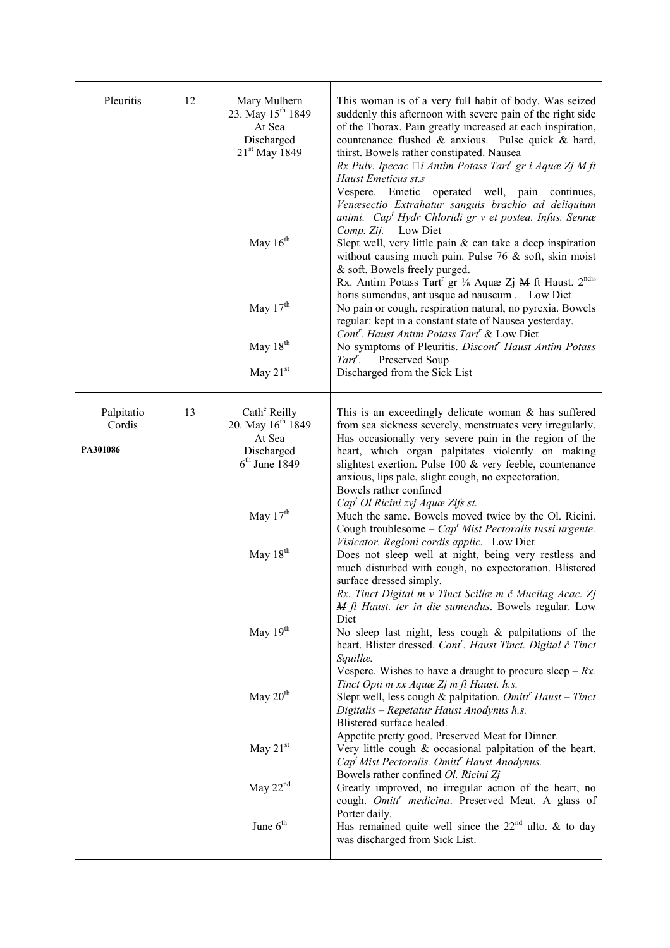| Pleuritis                        | 12 | Mary Mulhern<br>23. May 15 <sup>th</sup> 1849<br>At Sea<br>Discharged<br>$21st$ May 1849<br>May $16th$<br>May $17th$<br>May 18 <sup>th</sup><br>May $21st$                              | This woman is of a very full habit of body. Was seized<br>suddenly this afternoon with severe pain of the right side<br>of the Thorax. Pain greatly increased at each inspiration,<br>countenance flushed & anxious. Pulse quick & hard,<br>thirst. Bowels rather constipated. Nausea<br>Rx Pulv. Ipecac $\boxminus$ <i>Antim Potass Tart' gr i Aquæ Zj M ft</i><br>Haust Emeticus st.s<br>Vespere.<br>Emetic<br>operated well, pain continues,<br>Venæsectio Extrahatur sanguis brachio ad deliquium<br>animi. Cap <sup>t</sup> Hydr Chloridi gr v et postea. Infus. Sennæ<br>Low Diet<br>Comp. Zij.<br>Slept well, very little pain $&$ can take a deep inspiration<br>without causing much pain. Pulse 76 $&$ soft, skin moist<br>& soft. Bowels freely purged.<br>Rx. Antim Potass Tart <sup>r</sup> gr 1/8 Aquæ Zj M ft Haust. 2 <sup>ndis</sup><br>horis sumendus, ant usque ad nauseum . Low Diet<br>No pain or cough, respiration natural, no pyrexia. Bowels<br>regular: kept in a constant state of Nausea yesterday.<br>Cont <sup>r</sup> . Haust Antim Potass Tart <sup>r</sup> & Low Diet<br>No symptoms of Pleuritis. Discont <sup>r</sup> Haust Antim Potass<br><b>Preserved Soup</b><br>Tart <sup>r</sup> .<br>Discharged from the Sick List                                                                                                                                                                                                                                                                   |
|----------------------------------|----|-----------------------------------------------------------------------------------------------------------------------------------------------------------------------------------------|--------------------------------------------------------------------------------------------------------------------------------------------------------------------------------------------------------------------------------------------------------------------------------------------------------------------------------------------------------------------------------------------------------------------------------------------------------------------------------------------------------------------------------------------------------------------------------------------------------------------------------------------------------------------------------------------------------------------------------------------------------------------------------------------------------------------------------------------------------------------------------------------------------------------------------------------------------------------------------------------------------------------------------------------------------------------------------------------------------------------------------------------------------------------------------------------------------------------------------------------------------------------------------------------------------------------------------------------------------------------------------------------------------------------------------------------------------------------------------------------------------------------------------|
| Palpitatio<br>Cordis<br>PA301086 | 13 | Cath <sup>e</sup> Reilly<br>20. May $16^{th}$ 1849<br>At Sea<br>Discharged<br>$6th$ June 1849<br>May 17 <sup>th</sup><br>May $18th$<br>May $19th$<br>May 20 <sup>th</sup><br>May $21st$ | This is an exceedingly delicate woman $\&$ has suffered<br>from sea sickness severely, menstruates very irregularly.<br>Has occasionally very severe pain in the region of the<br>heart, which organ palpitates violently on making<br>slightest exertion. Pulse 100 & very feeble, countenance<br>anxious, lips pale, slight cough, no expectoration.<br>Bowels rather confined<br>Cap <sup>t</sup> Ol Ricini zvj Aquæ Zifs st.<br>Much the same. Bowels moved twice by the Ol. Ricini.<br>Cough troublesome – $Capt$ Mist Pectoralis tussi urgente.<br>Visicator. Regioni cordis applic. Low Diet<br>Does not sleep well at night, being very restless and<br>much disturbed with cough, no expectoration. Blistered<br>surface dressed simply.<br>Rx. Tinct Digital m v Tinct Scillæ m č Mucilag Acac. Zj<br><b>M</b> ft Haust. ter in die sumendus. Bowels regular. Low<br>Diet<br>No sleep last night, less cough $\&$ palpitations of the<br>heart. Blister dressed. Cont <sup>"</sup> . Haust Tinct. Digital č Tinct<br>Squillæ.<br>Vespere. Wishes to have a draught to procure sleep $-Rx$ .<br>Tinct Opii m xx Aquæ Zj m ft Haust. h.s.<br>Slept well, less cough & palpitation. Omit $H$ Haust – Tinct<br>Digitalis - Repetatur Haust Anodynus h.s.<br>Blistered surface healed.<br>Appetite pretty good. Preserved Meat for Dinner.<br>Very little cough $\&$ occasional palpitation of the heart.<br>Cap <sup>t</sup> Mist Pectoralis. Omitt <sup>r</sup> Haust Anodynus.<br>Bowels rather confined Ol. Ricini Zj |
|                                  |    | May $22nd$<br>June $6th$                                                                                                                                                                | Greatly improved, no irregular action of the heart, no<br>cough. Omitt' medicina. Preserved Meat. A glass of<br>Porter daily.<br>Has remained quite well since the $22nd$ ulto. & to day<br>was discharged from Sick List.                                                                                                                                                                                                                                                                                                                                                                                                                                                                                                                                                                                                                                                                                                                                                                                                                                                                                                                                                                                                                                                                                                                                                                                                                                                                                                     |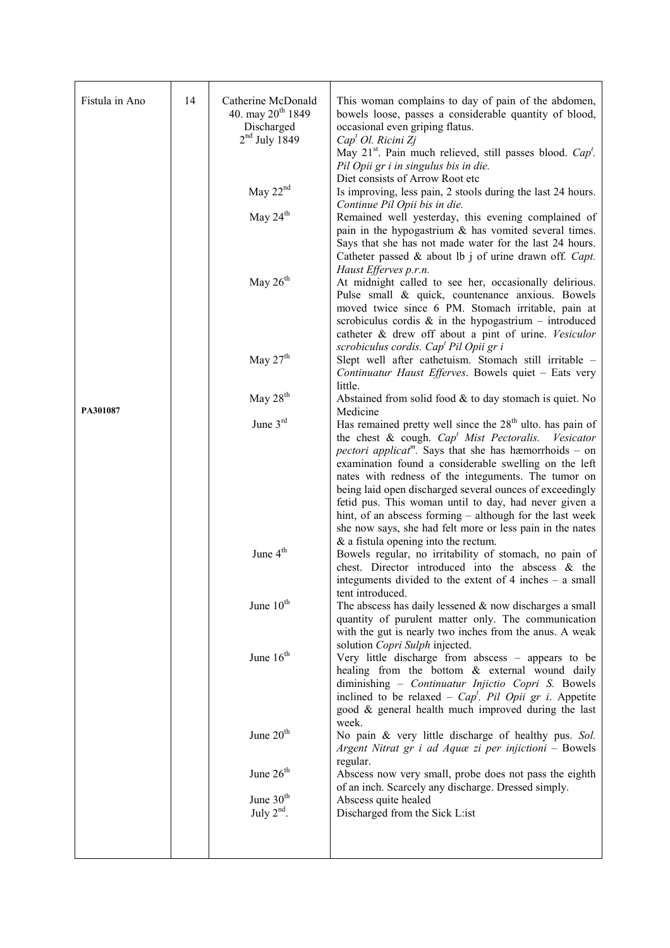| Fistula in Ano | 14 | Catherine McDonald<br>40. may $20^{th}$ 1849 | This woman complains to day of pain of the abdomen,<br>bowels loose, passes a considerable quantity of blood,                                                                                                                                                                                                                                              |
|----------------|----|----------------------------------------------|------------------------------------------------------------------------------------------------------------------------------------------------------------------------------------------------------------------------------------------------------------------------------------------------------------------------------------------------------------|
|                |    | Discharged<br>$2nd$ July 1849                | occasional even griping flatus.<br>Cap <sup>t</sup> Ol. Ricini Zj<br>May 21 <sup>st</sup> . Pain much relieved, still passes blood. Cap <sup>t</sup> .                                                                                                                                                                                                     |
|                |    | May $22nd$                                   | Pil Opii gr i in singulus bis in die.<br>Diet consists of Arrow Root etc<br>Is improving, less pain, 2 stools during the last 24 hours.<br>Continue Pil Opii bis in die.                                                                                                                                                                                   |
|                |    | May $24th$                                   | Remained well yesterday, this evening complained of<br>pain in the hypogastrium $\&$ has vomited several times.<br>Says that she has not made water for the last 24 hours.<br>Catheter passed & about lb j of urine drawn off. Capt.                                                                                                                       |
|                |    | May $26th$                                   | Haust Efferves p.r.n.<br>At midnight called to see her, occasionally delirious.<br>Pulse small & quick, countenance anxious. Bowels<br>moved twice since 6 PM. Stomach irritable, pain at<br>scrobiculus cordis $\&$ in the hypogastrium – introduced<br>catheter & drew off about a pint of urine. Vesiculor                                              |
|                |    | May $27th$                                   | scrobiculus cordis. Cap <sup>t</sup> Pil Opii gr i<br>Slept well after cathetuism. Stomach still irritable -<br>Continuatur Haust Efferves. Bowels quiet - Eats very<br>little.                                                                                                                                                                            |
| PA301087       |    | May $28th$                                   | Abstained from solid food $&$ to day stomach is quiet. No<br>Medicine                                                                                                                                                                                                                                                                                      |
|                |    | June $3rd$                                   | Has remained pretty well since the $28th$ ulto. has pain of<br>the chest & cough. $Capt$ Mist Pectoralis.<br>Vesicator<br><i>pectori applicat</i> <sup><i>m</i></sup> . Says that she has hæmorrhoids – on                                                                                                                                                 |
|                |    |                                              | examination found a considerable swelling on the left<br>nates with redness of the integuments. The tumor on<br>being laid open discharged several ounces of exceedingly<br>fetid pus. This woman until to day, had never given a<br>hint, of an abscess forming – although for the last week<br>she now says, she had felt more or less pain in the nates |
|                |    | June $4th$                                   | $\&$ a fistula opening into the rectum.<br>Bowels regular, no irritability of stomach, no pain of<br>chest. Director introduced into the abscess & the<br>integuments divided to the extent of $4$ inches $-$ a small                                                                                                                                      |
|                |    | June 10 <sup>th</sup>                        | tent introduced.<br>The abscess has daily lessened $&$ now discharges a small<br>quantity of purulent matter only. The communication<br>with the gut is nearly two inches from the anus. A weak<br>solution Copri Sulph injected.                                                                                                                          |
|                |    | June 16 <sup>th</sup>                        | Very little discharge from abscess - appears to be<br>healing from the bottom & external wound daily<br>diminishing - Continuatur Injictio Copri S. Bowels<br>inclined to be relaxed – $Capt$ . Pil Opii gr i. Appetite<br>good & general health much improved during the last                                                                             |
|                |    | June 20 <sup>th</sup>                        | week.<br>No pain & very little discharge of healthy pus. Sol.<br>Argent Nitrat gr i ad Aquæ zi per injictioni – Bowels<br>regular.                                                                                                                                                                                                                         |
|                |    | June $26th$                                  | Abscess now very small, probe does not pass the eighth<br>of an inch. Scarcely any discharge. Dressed simply.                                                                                                                                                                                                                                              |
|                |    | June $30th$<br>July $2nd$ .                  | Abscess quite healed<br>Discharged from the Sick L:ist                                                                                                                                                                                                                                                                                                     |
|                |    |                                              |                                                                                                                                                                                                                                                                                                                                                            |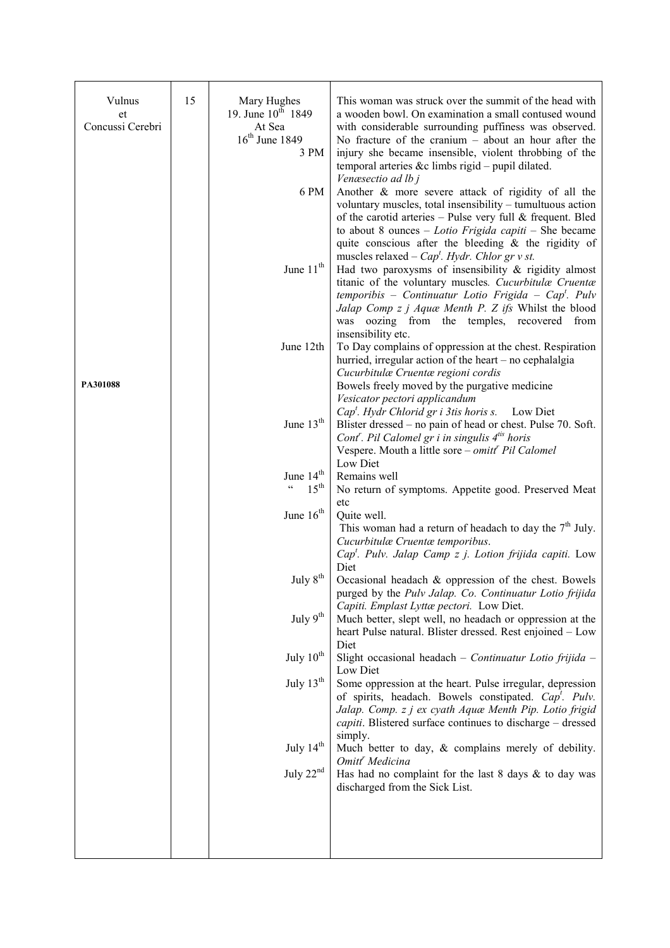| Vulnus<br>et     | 15 | Mary Hughes<br>19. June $10^{t\bar{h}}$ 1849 | This woman was struck over the summit of the head with<br>a wooden bowl. On examination a small contused wound                                                                                                                                                                             |
|------------------|----|----------------------------------------------|--------------------------------------------------------------------------------------------------------------------------------------------------------------------------------------------------------------------------------------------------------------------------------------------|
| Concussi Cerebri |    | At Sea<br>$16th$ June 1849<br>3 PM           | with considerable surrounding puffiness was observed.<br>No fracture of the cranium $-$ about an hour after the<br>injury she became insensible, violent throbbing of the                                                                                                                  |
|                  |    |                                              | temporal arteries &c limbs rigid - pupil dilated.<br>Venæsectio ad lb j                                                                                                                                                                                                                    |
|                  |    | 6 PM                                         | Another & more severe attack of rigidity of all the<br>voluntary muscles, total insensibility - tumultuous action                                                                                                                                                                          |
|                  |    |                                              | of the carotid arteries $-$ Pulse very full & frequent. Bled<br>to about 8 ounces $-$ <i>Lotio Frigida capiti</i> $-$ She became<br>quite conscious after the bleeding $\&$ the rigidity of                                                                                                |
|                  |    |                                              | muscles relaxed – $Capt$ . Hydr. Chlor gr v st.                                                                                                                                                                                                                                            |
|                  |    | June 11 <sup>th</sup>                        | Had two paroxysms of insensibility $\&$ rigidity almost<br>titanic of the voluntary muscles. Cucurbitulæ Cruentæ<br>temporibis - Continuatur Lotio Frigida - Cap <sup>t</sup> . Pulv<br>Jalap Comp z j Aquæ Menth P. Z ifs Whilst the blood<br>was oozing from the temples, recovered from |
|                  |    |                                              | insensibility etc.                                                                                                                                                                                                                                                                         |
|                  |    | June 12th                                    | To Day complains of oppression at the chest. Respiration<br>hurried, irregular action of the heart – no cephalalgia<br>Cucurbitulæ Cruentæ regioni cordis                                                                                                                                  |
| PA301088         |    |                                              | Bowels freely moved by the purgative medicine                                                                                                                                                                                                                                              |
|                  |    |                                              | Vesicator pectori applicandum<br>$Capt$ . Hydr Chlorid gr i 3tis horis s.<br>Low Diet                                                                                                                                                                                                      |
|                  |    | June 13 <sup>th</sup>                        | Blister dressed – no pain of head or chest. Pulse 70. Soft.<br>Cont <sup>r</sup> . Pil Calomel gr i in singulis $4^{i}$ horis                                                                                                                                                              |
|                  |    |                                              | Vespere. Mouth a little sore - omitt <sup>r</sup> Pil Calomel                                                                                                                                                                                                                              |
|                  |    | June 14 <sup>th</sup>                        | Low Diet<br>Remains well                                                                                                                                                                                                                                                                   |
|                  |    | $\mathsf{c}\,\mathsf{c}$<br>$15^{\text{th}}$ | No return of symptoms. Appetite good. Preserved Meat<br>etc                                                                                                                                                                                                                                |
|                  |    | June $16th$                                  | Quite well.                                                                                                                                                                                                                                                                                |
|                  |    |                                              | This woman had a return of headach to day the $7th$ July.<br>Cucurbitulæ Cruentæ temporibus.                                                                                                                                                                                               |
|                  |    |                                              | Cap <sup>t</sup> . Pulv. Jalap Camp z j. Lotion frijida capiti. Low<br>Diet                                                                                                                                                                                                                |
|                  |    | July 8 <sup>th</sup>                         | Occasional headach & oppression of the chest. Bowels<br>purged by the Pulv Jalap. Co. Continuatur Lotio frijida                                                                                                                                                                            |
|                  |    | July 9 <sup>th</sup>                         | Capiti. Emplast Lyttæ pectori. Low Diet.<br>Much better, slept well, no headach or oppression at the<br>heart Pulse natural. Blister dressed. Rest enjoined - Low                                                                                                                          |
|                  |    | July 10 <sup>th</sup>                        | Diet<br>Slight occasional headach - Continuatur Lotio frijida -<br>Low Diet                                                                                                                                                                                                                |
|                  |    | July $13th$                                  | Some oppression at the heart. Pulse irregular, depression<br>of spirits, headach. Bowels constipated. Cap <sup>t</sup> . Pulv.                                                                                                                                                             |
|                  |    |                                              | Jalap. Comp. z j ex cyath Aquæ Menth Pip. Lotio frigid<br>capiti. Blistered surface continues to discharge – dressed                                                                                                                                                                       |
|                  |    | July 14 <sup>th</sup>                        | simply.<br>Much better to day, & complains merely of debility.<br>Omitt <sup>'</sup> Medicina                                                                                                                                                                                              |
|                  |    | July $22nd$                                  | Has had no complaint for the last $8$ days $\&$ to day was<br>discharged from the Sick List.                                                                                                                                                                                               |
|                  |    |                                              |                                                                                                                                                                                                                                                                                            |
|                  |    |                                              |                                                                                                                                                                                                                                                                                            |
|                  |    |                                              |                                                                                                                                                                                                                                                                                            |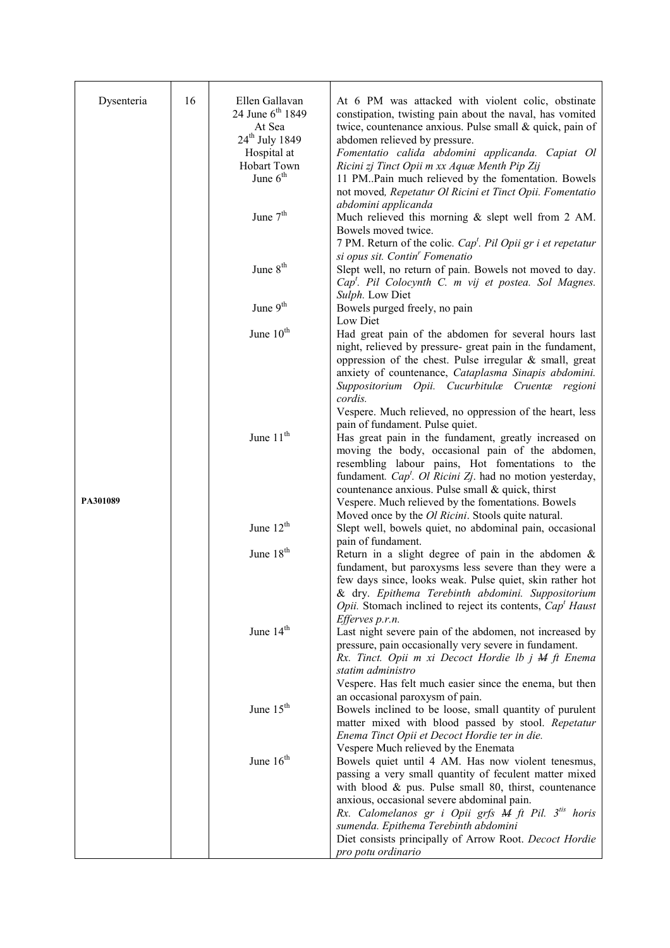| Dysenteria | 16 | Ellen Gallavan<br>24 June 6 <sup>th</sup> 1849 | At 6 PM was attacked with violent colic, obstinate                                                                   |
|------------|----|------------------------------------------------|----------------------------------------------------------------------------------------------------------------------|
|            |    | At Sea                                         | constipation, twisting pain about the naval, has vomited<br>twice, countenance anxious. Pulse small & quick, pain of |
|            |    | 24 <sup>th</sup> July 1849                     | abdomen relieved by pressure.                                                                                        |
|            |    | Hospital at                                    | Fomentatio calida abdomini applicanda. Capiat Ol                                                                     |
|            |    | Hobart Town<br>June $6th$                      | Ricini zj Tinct Opii m xx Aquæ Menth Pip Zij                                                                         |
|            |    |                                                | 11 PM. Pain much relieved by the fomentation. Bowels<br>not moved, Repetatur Ol Ricini et Tinct Opii. Fomentatio     |
|            |    |                                                | abdomini applicanda                                                                                                  |
|            |    | June $7th$                                     | Much relieved this morning $&$ slept well from 2 AM.                                                                 |
|            |    |                                                | Bowels moved twice.                                                                                                  |
|            |    |                                                | 7 PM. Return of the colic. $Capt$ . Pil Opii gr i et repetatur                                                       |
|            |    | June $8th$                                     | si opus sit. Contin <sup>r</sup> Fomenatio<br>Slept well, no return of pain. Bowels not moved to day.                |
|            |    |                                                | Cap <sup>t</sup> . Pil Colocynth C. m vij et postea. Sol Magnes.                                                     |
|            |    |                                                | Sulph. Low Diet                                                                                                      |
|            |    | June $9th$                                     | Bowels purged freely, no pain                                                                                        |
|            |    |                                                | Low Diet                                                                                                             |
|            |    | June 10 <sup>th</sup>                          | Had great pain of the abdomen for several hours last<br>night, relieved by pressure- great pain in the fundament,    |
|            |    |                                                | oppression of the chest. Pulse irregular $\&$ small, great                                                           |
|            |    |                                                | anxiety of countenance, Cataplasma Sinapis abdomini.                                                                 |
|            |    |                                                | Suppositorium Opii. Cucurbitulæ Cruentæ regioni                                                                      |
|            |    |                                                | cordis.                                                                                                              |
|            |    |                                                | Vespere. Much relieved, no oppression of the heart, less<br>pain of fundament. Pulse quiet.                          |
|            |    | June 11 <sup>th</sup>                          | Has great pain in the fundament, greatly increased on                                                                |
|            |    |                                                | moving the body, occasional pain of the abdomen,                                                                     |
|            |    |                                                | resembling labour pains, Hot fomentations to the                                                                     |
|            |    |                                                | fundament. Cap <sup>t</sup> . Ol Ricini Zj. had no motion yesterday,                                                 |
| PA301089   |    |                                                | countenance anxious. Pulse small & quick, thirst<br>Vespere. Much relieved by the fomentations. Bowels               |
|            |    |                                                | Moved once by the <i>Ol Ricini</i> . Stools quite natural.                                                           |
|            |    | June 12 <sup>th</sup>                          | Slept well, bowels quiet, no abdominal pain, occasional                                                              |
|            |    |                                                | pain of fundament.                                                                                                   |
|            |    | June 18 <sup>th</sup>                          | Return in a slight degree of pain in the abdomen $\&$                                                                |
|            |    |                                                | fundament, but paroxysms less severe than they were a<br>few days since, looks weak. Pulse quiet, skin rather hot    |
|            |    |                                                | & dry. Epithema Terebinth abdomini. Suppositorium                                                                    |
|            |    |                                                | <i>Opii.</i> Stomach inclined to reject its contents, <i>Cap<sup>t</sup> Haust</i>                                   |
|            |    |                                                | Efferves p.r.n.                                                                                                      |
|            |    | June 14 <sup>th</sup>                          | Last night severe pain of the abdomen, not increased by<br>pressure, pain occasionally very severe in fundament.     |
|            |    |                                                | Rx. Tinct. Opii m xi Decoct Hordie lb j M ft Enema                                                                   |
|            |    |                                                | statim administro                                                                                                    |
|            |    |                                                | Vespere. Has felt much easier since the enema, but then                                                              |
|            |    |                                                | an occasional paroxysm of pain.                                                                                      |
|            |    | June $15th$                                    | Bowels inclined to be loose, small quantity of purulent<br>matter mixed with blood passed by stool. Repetatur        |
|            |    |                                                | Enema Tinct Opii et Decoct Hordie ter in die.                                                                        |
|            |    |                                                | Vespere Much relieved by the Enemata                                                                                 |
|            |    | June $16th$                                    | Bowels quiet until 4 AM. Has now violent tenesmus,                                                                   |
|            |    |                                                | passing a very small quantity of feculent matter mixed                                                               |
|            |    |                                                | with blood $\&$ pus. Pulse small 80, thirst, countenance<br>anxious, occasional severe abdominal pain.               |
|            |    |                                                | Rx. Calomelanos gr i Opii grfs M ft Pil. 3 <sup>tis</sup> horis                                                      |
|            |    |                                                | sumenda. Epithema Terebinth abdomini                                                                                 |
|            |    |                                                | Diet consists principally of Arrow Root. Decoct Hordie                                                               |
|            |    |                                                | pro potu ordinario                                                                                                   |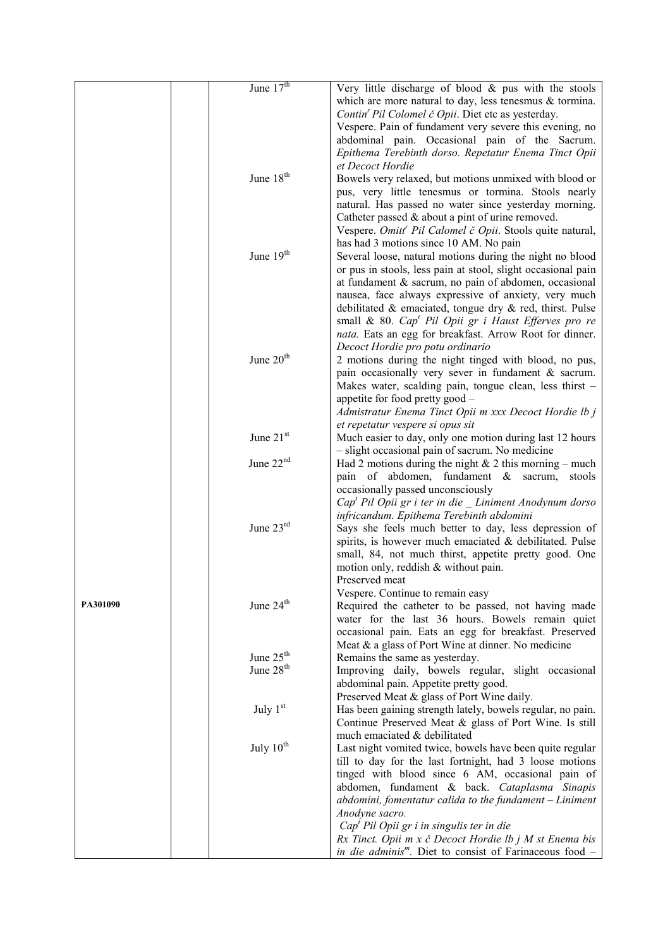|          | June $17th$           | Very little discharge of blood $\&$ pus with the stools                                                      |
|----------|-----------------------|--------------------------------------------------------------------------------------------------------------|
|          |                       | which are more natural to day, less tenesmus $\&$ tormina.                                                   |
|          |                       | Contin' Pil Colomel č Opii. Diet etc as yesterday.                                                           |
|          |                       | Vespere. Pain of fundament very severe this evening, no                                                      |
|          |                       | abdominal pain. Occasional pain of the Sacrum.                                                               |
|          |                       | Epithema Terebinth dorso. Repetatur Enema Tinct Opii                                                         |
|          |                       | et Decoct Hordie                                                                                             |
|          | June 18 <sup>th</sup> | Bowels very relaxed, but motions unmixed with blood or                                                       |
|          |                       | pus, very little tenesmus or tormina. Stools nearly                                                          |
|          |                       | natural. Has passed no water since yesterday morning.                                                        |
|          |                       | Catheter passed $&$ about a pint of urine removed.                                                           |
|          |                       | Vespere. Omitt <sup>r</sup> Pil Calomel č Opii. Stools quite natural,                                        |
|          |                       | has had 3 motions since 10 AM. No pain                                                                       |
|          | June 19th             | Several loose, natural motions during the night no blood                                                     |
|          |                       | or pus in stools, less pain at stool, slight occasional pain                                                 |
|          |                       | at fundament & sacrum, no pain of abdomen, occasional                                                        |
|          |                       | nausea, face always expressive of anxiety, very much                                                         |
|          |                       | debilitated $\&$ emaciated, tongue dry $\&$ red, thirst. Pulse                                               |
|          |                       | small & 80. $Capt$ Pil Opii gr i Haust Efferves pro re                                                       |
|          |                       | nata. Eats an egg for breakfast. Arrow Root for dinner.                                                      |
|          | June $20th$           | Decoct Hordie pro potu ordinario                                                                             |
|          |                       | 2 motions during the night tinged with blood, no pus,<br>pain occasionally very sever in fundament & sacrum. |
|          |                       | Makes water, scalding pain, tongue clean, less thirst -                                                      |
|          |                       | appetite for food pretty good -                                                                              |
|          |                       | Admistratur Enema Tinct Opii m xxx Decoct Hordie lb j                                                        |
|          |                       | et repetatur vespere si opus sit                                                                             |
|          | June 21st             | Much easier to day, only one motion during last 12 hours                                                     |
|          |                       | - slight occasional pain of sacrum. No medicine                                                              |
|          | June $22nd$           | Had 2 motions during the night $& 2$ this morning – much                                                     |
|          |                       | pain of abdomen, fundament & sacrum,<br>stools                                                               |
|          |                       | occasionally passed unconsciously                                                                            |
|          |                       | Cap <sup>t</sup> Pil Opii gr i ter in die Liniment Anodynum dorso                                            |
|          |                       | infricandum. Epithema Terebinth abdomini                                                                     |
|          | June $23rd$           | Says she feels much better to day, less depression of                                                        |
|          |                       | spirits, is however much emaciated & debilitated. Pulse                                                      |
|          |                       | small, 84, not much thirst, appetite pretty good. One                                                        |
|          |                       | motion only, reddish $&$ without pain.                                                                       |
|          |                       | Preserved meat                                                                                               |
|          |                       | Vespere. Continue to remain easy                                                                             |
| PA301090 | June 24 <sup>th</sup> | Required the catheter to be passed, not having made                                                          |
|          |                       | water for the last 36 hours. Bowels remain quiet                                                             |
|          |                       | occasional pain. Eats an egg for breakfast. Preserved                                                        |
|          | June 25 <sup>th</sup> | Meat & a glass of Port Wine at dinner. No medicine<br>Remains the same as yesterday.                         |
|          | June 28 <sup>th</sup> | Improving daily, bowels regular, slight occasional                                                           |
|          |                       | abdominal pain. Appetite pretty good.                                                                        |
|          |                       | Preserved Meat & glass of Port Wine daily.                                                                   |
|          | July $1st$            | Has been gaining strength lately, bowels regular, no pain.                                                   |
|          |                       | Continue Preserved Meat & glass of Port Wine. Is still                                                       |
|          |                       | much emaciated & debilitated                                                                                 |
|          | July $10^{th}$        | Last night vomited twice, bowels have been quite regular                                                     |
|          |                       | till to day for the last fortnight, had 3 loose motions                                                      |
|          |                       | tinged with blood since 6 AM, occasional pain of                                                             |
|          |                       | abdomen, fundament & back. Cataplasma Sinapis                                                                |
|          |                       | $abdomini$ , fomentatur calida to the fundament $-Liniment$                                                  |
|          |                       | Anodyne sacro.                                                                                               |
|          |                       | Cap <sup>t</sup> Pil Opii gr i in singulis ter in die                                                        |
|          |                       | Rx Tinct. Opii m x č Decoct Hordie lb j M st Enema bis                                                       |
|          |                       | in die adminis <sup>m</sup> . Diet to consist of Farinaceous food -                                          |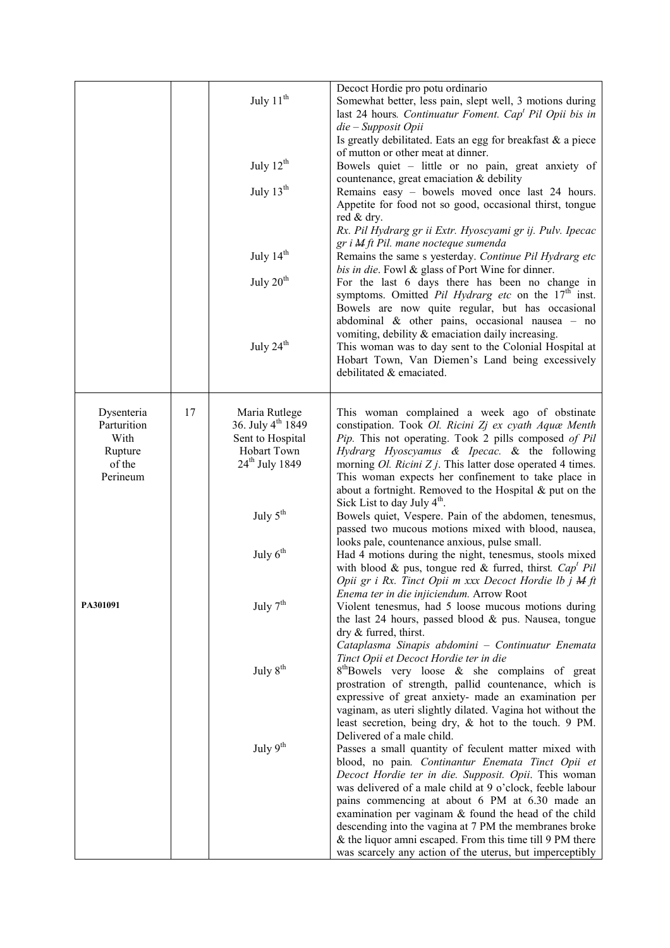|                                       |    | July $11th$<br>July 12 <sup>th</sup><br>July $13th$<br>July 14 <sup>th</sup><br>July $20th$<br>July $24th$ | Decoct Hordie pro potu ordinario<br>Somewhat better, less pain, slept well, 3 motions during<br>last 24 hours. Continuatur Foment. Cap <sup>t</sup> Pil Opii bis in<br>die - Supposit Opii<br>Is greatly debilitated. Eats an egg for breakfast & a piece<br>of mutton or other meat at dinner.<br>Bowels quiet - little or no pain, great anxiety of<br>countenance, great emaciation & debility<br>Remains easy - bowels moved once last 24 hours.<br>Appetite for food not so good, occasional thirst, tongue<br>red & dry.<br>Rx. Pil Hydrarg gr ii Extr. Hyoscyami gr ij. Pulv. Ipecac<br>gr i M ft Pil. mane nocteque sumenda<br>Remains the same s yesterday. Continue Pil Hydrarg etc<br>bis in die. Fowl & glass of Port Wine for dinner.<br>For the last 6 days there has been no change in<br>symptoms. Omitted Pil Hydrarg etc on the $17th$ inst.<br>Bowels are now quite regular, but has occasional<br>abdominal $\&$ other pains, occasional nausea - no<br>vomiting, debility & emaciation daily increasing.<br>This woman was to day sent to the Colonial Hospital at<br>Hobart Town, Van Diemen's Land being excessively<br>debilitated & emaciated. |
|---------------------------------------|----|------------------------------------------------------------------------------------------------------------|-------------------------------------------------------------------------------------------------------------------------------------------------------------------------------------------------------------------------------------------------------------------------------------------------------------------------------------------------------------------------------------------------------------------------------------------------------------------------------------------------------------------------------------------------------------------------------------------------------------------------------------------------------------------------------------------------------------------------------------------------------------------------------------------------------------------------------------------------------------------------------------------------------------------------------------------------------------------------------------------------------------------------------------------------------------------------------------------------------------------------------------------------------------------------|
| Dysenteria<br>Parturition             | 17 | Maria Rutlege<br>36. July 4 <sup>th</sup> 1849                                                             | This woman complained a week ago of obstinate                                                                                                                                                                                                                                                                                                                                                                                                                                                                                                                                                                                                                                                                                                                                                                                                                                                                                                                                                                                                                                                                                                                           |
| With<br>Rupture<br>of the<br>Perineum |    | Sent to Hospital<br>Hobart Town<br>$24th$ July 1849                                                        | constipation. Took Ol. Ricini Zj ex cyath Aquæ Menth<br>Pip. This not operating. Took 2 pills composed of Pil<br>Hydrarg Hyoscyamus & Ipecac. & the following<br>morning $Ol. Ricini Zj. This latter dose operated 4 times.$<br>This woman expects her confinement to take place in<br>about a fortnight. Removed to the Hospital & put on the                                                                                                                                                                                                                                                                                                                                                                                                                                                                                                                                                                                                                                                                                                                                                                                                                          |
|                                       |    | July $5^{\text{th}}$                                                                                       | Sick List to day July $4th$ .<br>Bowels quiet, Vespere. Pain of the abdomen, tenesmus,<br>passed two mucous motions mixed with blood, nausea,                                                                                                                                                                                                                                                                                                                                                                                                                                                                                                                                                                                                                                                                                                                                                                                                                                                                                                                                                                                                                           |
|                                       |    | July $6th$                                                                                                 | looks pale, countenance anxious, pulse small.<br>Had 4 motions during the night, tenesmus, stools mixed<br>with blood & pus, tongue red & furred, thirst. $Capt Pil$<br>Opii gr i Rx. Tinct Opii m xxx Decoct Hordie lb j M ft                                                                                                                                                                                                                                                                                                                                                                                                                                                                                                                                                                                                                                                                                                                                                                                                                                                                                                                                          |
| PA301091                              |    | July $7th$                                                                                                 | Enema ter in die injiciendum. Arrow Root<br>Violent tenesmus, had 5 loose mucous motions during<br>the last 24 hours, passed blood & pus. Nausea, tongue<br>dry & furred, thirst.                                                                                                                                                                                                                                                                                                                                                                                                                                                                                                                                                                                                                                                                                                                                                                                                                                                                                                                                                                                       |
|                                       |    | July $8th$                                                                                                 | Cataplasma Sinapis abdomini - Continuatur Enemata<br>Tinct Opii et Decoct Hordie ter in die<br>$8th$ Bowels very loose & she complains of great<br>prostration of strength, pallid countenance, which is<br>expressive of great anxiety- made an examination per<br>vaginam, as uteri slightly dilated. Vagina hot without the<br>least secretion, being dry, & hot to the touch. 9 PM.                                                                                                                                                                                                                                                                                                                                                                                                                                                                                                                                                                                                                                                                                                                                                                                 |
|                                       |    | July $9^{th}$                                                                                              | Delivered of a male child.<br>Passes a small quantity of feculent matter mixed with<br>blood, no pain. Continantur Enemata Tinct Opii et<br>Decoct Hordie ter in die. Supposit. Opii. This woman<br>was delivered of a male child at 9 o'clock, feeble labour<br>pains commencing at about 6 PM at 6.30 made an<br>examination per vaginam & found the head of the child<br>descending into the vagina at 7 PM the membranes broke<br>& the liquor amni escaped. From this time till 9 PM there<br>was scarcely any action of the uterus, but imperceptibly                                                                                                                                                                                                                                                                                                                                                                                                                                                                                                                                                                                                             |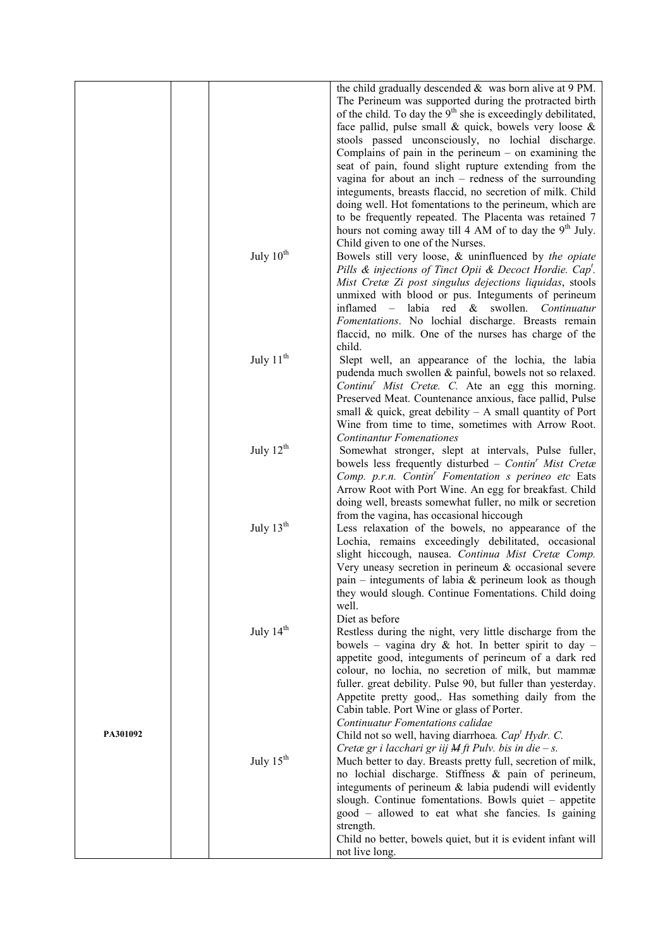|          |                       | the child gradually descended $\&$ was born alive at 9 PM.<br>The Perineum was supported during the protracted birth<br>of the child. To day the $9th$ she is exceedingly debilitated,<br>face pallid, pulse small $\&$ quick, bowels very loose $\&$<br>stools passed unconsciously, no lochial discharge.<br>Complains of pain in the perineum $-$ on examining the                  |
|----------|-----------------------|----------------------------------------------------------------------------------------------------------------------------------------------------------------------------------------------------------------------------------------------------------------------------------------------------------------------------------------------------------------------------------------|
|          |                       | seat of pain, found slight rupture extending from the<br>vagina for about an inch $-$ redness of the surrounding<br>integuments, breasts flaccid, no secretion of milk. Child                                                                                                                                                                                                          |
|          |                       | doing well. Hot fomentations to the perineum, which are<br>to be frequently repeated. The Placenta was retained 7                                                                                                                                                                                                                                                                      |
|          | July $10^{th}$        | hours not coming away till 4 AM of to day the 9 <sup>th</sup> July.<br>Child given to one of the Nurses.<br>Bowels still very loose, & uninfluenced by the opiate                                                                                                                                                                                                                      |
|          |                       | Pills & injections of Tinct Opii & Decoct Hordie. Cap <sup>t</sup> .<br>Mist Cretæ Zi post singulus dejections liquidas, stools<br>unmixed with blood or pus. Integuments of perineum<br>labia red &<br>inflamed<br>$\overline{\phantom{m}}$<br>swollen.<br>Continuatur<br>Fomentations. No lochial discharge. Breasts remain<br>flaccid, no milk. One of the nurses has charge of the |
|          | July 11 <sup>th</sup> | child.<br>Slept well, an appearance of the lochia, the labia<br>pudenda much swollen & painful, bowels not so relaxed.<br>Continu' Mist Cretæ. C. Ate an egg this morning.<br>Preserved Meat. Countenance anxious, face pallid, Pulse<br>small & quick, great debility $- A$ small quantity of Port                                                                                    |
|          | July $12^{th}$        | Wine from time to time, sometimes with Arrow Root.<br><b>Continantur Fomenationes</b><br>Somewhat stronger, slept at intervals, Pulse fuller,                                                                                                                                                                                                                                          |
|          |                       | bowels less frequently disturbed $-$ Contin <sup>r</sup> Mist Cretæ<br>Comp. p.r.n. Contin <sup>'</sup> Fomentation s perineo etc Eats<br>Arrow Root with Port Wine. An egg for breakfast. Child<br>doing well, breasts somewhat fuller, no milk or secretion<br>from the vagina, has occasional hiccough                                                                              |
|          | July 13 <sup>th</sup> | Less relaxation of the bowels, no appearance of the<br>Lochia, remains exceedingly debilitated, occasional<br>slight hiccough, nausea. Continua Mist Cretæ Comp.<br>Very uneasy secretion in perineum $\&$ occasional severe<br>pain – integuments of labia $\&$ perineum look as though<br>they would slough. Continue Fomentations. Child doing                                      |
|          | July 14 <sup>th</sup> | well.<br>Diet as before<br>Restless during the night, very little discharge from the                                                                                                                                                                                                                                                                                                   |
|          |                       | bowels – vagina dry $\&$ hot. In better spirit to day –<br>appetite good, integuments of perineum of a dark red<br>colour, no lochia, no secretion of milk, but mammæ<br>fuller. great debility. Pulse 90, but fuller than yesterday.<br>Appetite pretty good,. Has something daily from the                                                                                           |
| PA301092 |                       | Cabin table. Port Wine or glass of Porter.<br><b>Continuatur Fomentations calidae</b><br>Child not so well, having diarrhoea. Cap' Hydr. C.                                                                                                                                                                                                                                            |
|          | July $15th$           | Cretæ gr i lacchari gr iij $M$ ft Pulv. bis in die – s.<br>Much better to day. Breasts pretty full, secretion of milk,<br>no lochial discharge. Stiffness & pain of perineum,<br>integuments of perineum & labia pudendi will evidently<br>slough. Continue fomentations. Bowls quiet - appetite<br>good – allowed to eat what she fancies. Is gaining                                 |
|          |                       | strength.<br>Child no better, bowels quiet, but it is evident infant will<br>not live long.                                                                                                                                                                                                                                                                                            |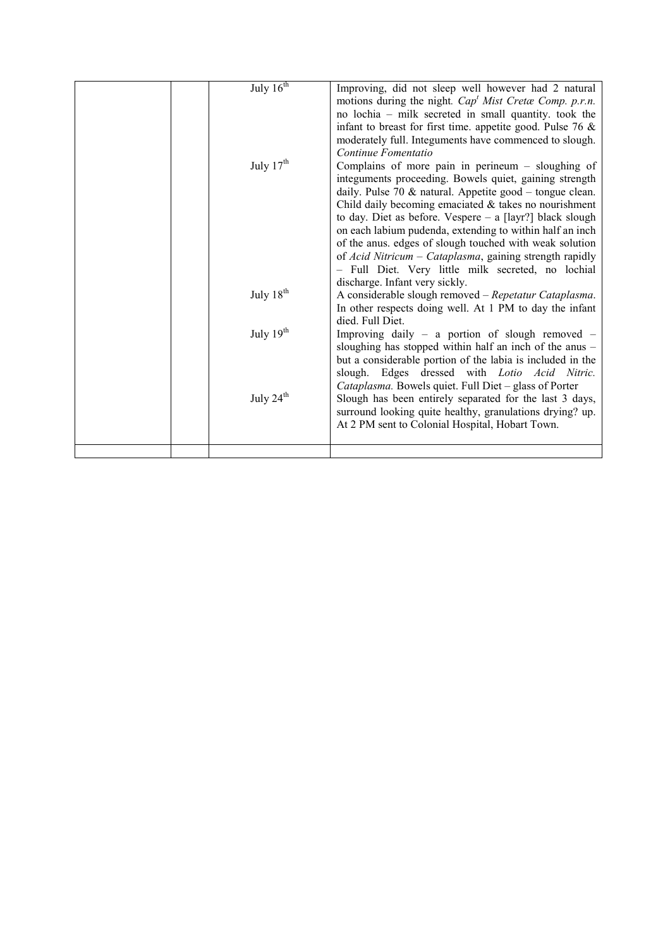|  | July $16th$           | Improving, did not sleep well however had 2 natural           |
|--|-----------------------|---------------------------------------------------------------|
|  |                       | motions during the night. $Capt Mist$ Cretæ Comp. p.r.n.      |
|  |                       | no lochia – milk secreted in small quantity, took the         |
|  |                       | infant to breast for first time. appetite good. Pulse 76 $\&$ |
|  |                       | moderately full. Integuments have commenced to slough.        |
|  |                       | Continue Fomentatio                                           |
|  | July 17 <sup>th</sup> | Complains of more pain in perineum $-$ sloughing of           |
|  |                       | integuments proceeding. Bowels quiet, gaining strength        |
|  |                       | daily. Pulse 70 $&$ natural. Appetite good – tongue clean.    |
|  |                       | Child daily becoming emaciated $&$ takes no nourishment       |
|  |                       | to day. Diet as before. Vespere - a [layr?] black slough      |
|  |                       | on each labium pudenda, extending to within half an inch      |
|  |                       | of the anus. edges of slough touched with weak solution       |
|  |                       | of Acid Nitricum – Cataplasma, gaining strength rapidly       |
|  |                       | - Full Diet. Very little milk secreted, no lochial            |
|  |                       | discharge. Infant very sickly.                                |
|  | July 18 <sup>th</sup> | A considerable slough removed - Repetatur Cataplasma.         |
|  |                       | In other respects doing well. At 1 PM to day the infant       |
|  |                       | died. Full Diet.                                              |
|  | July 19th             | Improving daily $-$ a portion of slough removed $-$           |
|  |                       | sloughing has stopped within half an inch of the anus -       |
|  |                       | but a considerable portion of the labia is included in the    |
|  |                       | slough. Edges dressed with Lotio Acid Nitric.                 |
|  |                       | Cataplasma. Bowels quiet. Full Diet - glass of Porter         |
|  | July 24 <sup>th</sup> | Slough has been entirely separated for the last 3 days,       |
|  |                       | surround looking quite healthy, granulations drying? up.      |
|  |                       | At 2 PM sent to Colonial Hospital, Hobart Town.               |
|  |                       |                                                               |
|  |                       |                                                               |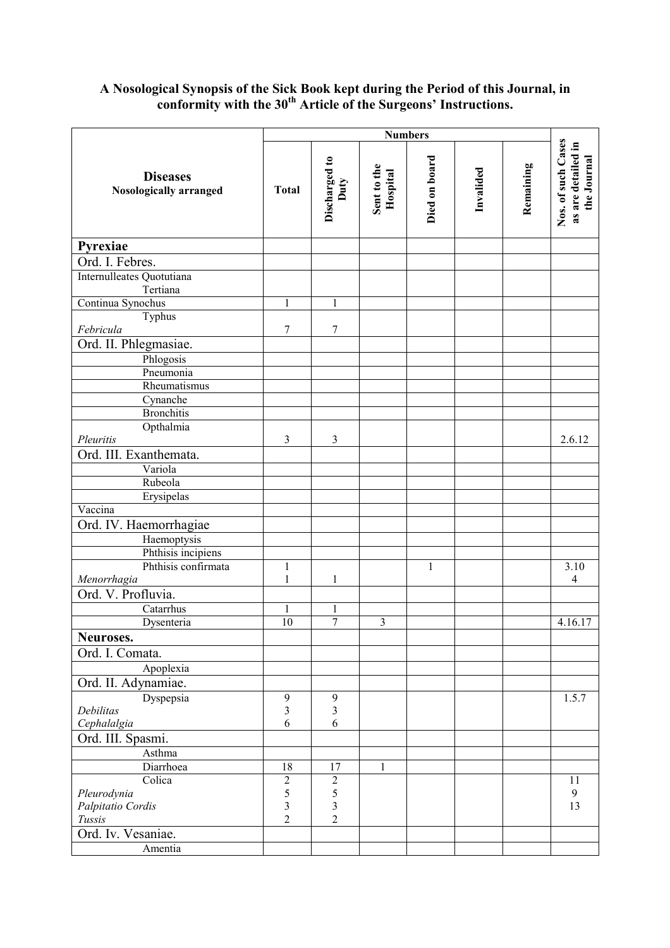## A Nosological Synopsis of the Sick Book kept during the Period of this Journal, in conformity with the  $30<sup>th</sup>$  Article of the Surgeons' Instructions.

|                                                  | <b>Numbers</b>          |                                |                         |               |           |           |                                                         |
|--------------------------------------------------|-------------------------|--------------------------------|-------------------------|---------------|-----------|-----------|---------------------------------------------------------|
| <b>Diseases</b><br><b>Nosologically arranged</b> | <b>Total</b>            | Discharged to<br>Duty          | Sent to the<br>Hospital | Died on board | Invalided | Remaining | Nos. of such Cases<br>as are detailed in<br>the Journal |
| Pyrexiae                                         |                         |                                |                         |               |           |           |                                                         |
| Ord. I. Febres.                                  |                         |                                |                         |               |           |           |                                                         |
| Internulleates Quotutiana<br>Tertiana            |                         |                                |                         |               |           |           |                                                         |
| Continua Synochus                                | $\mathbf{1}$            | $\mathbf{1}$                   |                         |               |           |           |                                                         |
| Typhus                                           |                         |                                |                         |               |           |           |                                                         |
| Febricula                                        | 7                       | $\overline{7}$                 |                         |               |           |           |                                                         |
| Ord. II. Phlegmasiae.                            |                         |                                |                         |               |           |           |                                                         |
| Phlogosis                                        |                         |                                |                         |               |           |           |                                                         |
| Pneumonia                                        |                         |                                |                         |               |           |           |                                                         |
| Rheumatismus                                     |                         |                                |                         |               |           |           |                                                         |
| Cynanche                                         |                         |                                |                         |               |           |           |                                                         |
| <b>Bronchitis</b>                                |                         |                                |                         |               |           |           |                                                         |
| Opthalmia                                        |                         |                                |                         |               |           |           |                                                         |
| Pleuritis                                        | $\mathfrak{Z}$          | 3                              |                         |               |           |           | 2.6.12                                                  |
| Ord. III. Exanthemata.                           |                         |                                |                         |               |           |           |                                                         |
| Variola                                          |                         |                                |                         |               |           |           |                                                         |
| Rubeola                                          |                         |                                |                         |               |           |           |                                                         |
| Erysipelas<br>Vaccina                            |                         |                                |                         |               |           |           |                                                         |
|                                                  |                         |                                |                         |               |           |           |                                                         |
| Ord. IV. Haemorrhagiae                           |                         |                                |                         |               |           |           |                                                         |
| Haemoptysis<br>Phthisis incipiens                |                         |                                |                         |               |           |           |                                                         |
| Phthisis confirmata                              | $\mathbf 1$             |                                |                         | $\mathbf{1}$  |           |           | 3.10                                                    |
| Menorrhagia                                      | $\mathbf 1$             | $\mathbf{1}$                   |                         |               |           |           | $\overline{4}$                                          |
| Ord. V. Profluvia.                               |                         |                                |                         |               |           |           |                                                         |
| Catarrhus                                        | 1                       |                                |                         |               |           |           |                                                         |
| Dysenteria                                       | 10                      | $\mathbf{1}$<br>$\overline{7}$ | $\overline{\mathbf{3}}$ |               |           |           | 4.16.17                                                 |
| Neuroses.                                        |                         |                                |                         |               |           |           |                                                         |
| Ord. I. Comata.                                  |                         |                                |                         |               |           |           |                                                         |
| Apoplexia                                        |                         |                                |                         |               |           |           |                                                         |
|                                                  |                         |                                |                         |               |           |           |                                                         |
| Ord. II. Adynamiae.                              |                         |                                |                         |               |           |           |                                                         |
| Dyspepsia<br>Debilitas                           | 9<br>3                  | 9<br>3                         |                         |               |           |           | 1.5.7                                                   |
| Cephalalgia                                      | 6                       | 6                              |                         |               |           |           |                                                         |
| Ord. III. Spasmi.                                |                         |                                |                         |               |           |           |                                                         |
| Asthma                                           |                         |                                |                         |               |           |           |                                                         |
| Diarrhoea                                        | 18                      | 17                             | 1                       |               |           |           |                                                         |
| Colica                                           | $\overline{c}$          | $\overline{c}$                 |                         |               |           |           | 11                                                      |
| Pleurodynia                                      | 5                       | 5                              |                         |               |           |           | 9                                                       |
| Palpitatio Cordis                                | $\overline{\mathbf{3}}$ | 3                              |                         |               |           |           | 13                                                      |
| Tussis                                           | $\overline{2}$          | $\overline{2}$                 |                         |               |           |           |                                                         |
| Ord. Iv. Vesaniae.                               |                         |                                |                         |               |           |           |                                                         |
| Amentia                                          |                         |                                |                         |               |           |           |                                                         |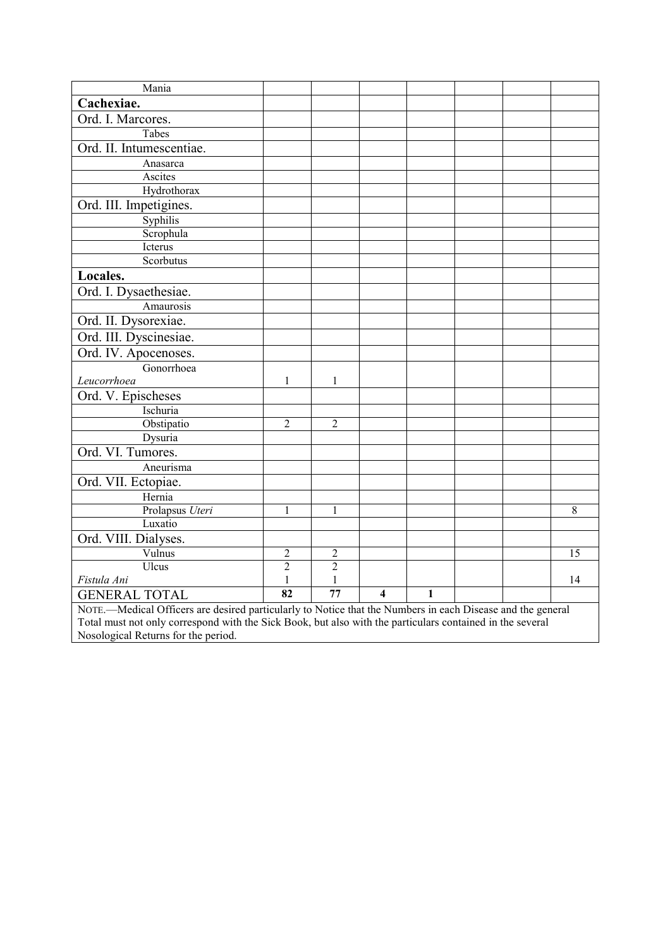| Mania                                                                                                      |                 |                |                         |              |  |  |    |
|------------------------------------------------------------------------------------------------------------|-----------------|----------------|-------------------------|--------------|--|--|----|
| Cachexiae.                                                                                                 |                 |                |                         |              |  |  |    |
| Ord. I. Marcores.                                                                                          |                 |                |                         |              |  |  |    |
| Tabes                                                                                                      |                 |                |                         |              |  |  |    |
| Ord. II. Intumescentiae.                                                                                   |                 |                |                         |              |  |  |    |
| Anasarca                                                                                                   |                 |                |                         |              |  |  |    |
| Ascites                                                                                                    |                 |                |                         |              |  |  |    |
| Hydrothorax                                                                                                |                 |                |                         |              |  |  |    |
| Ord. III. Impetigines.                                                                                     |                 |                |                         |              |  |  |    |
| Syphilis                                                                                                   |                 |                |                         |              |  |  |    |
| Scrophula                                                                                                  |                 |                |                         |              |  |  |    |
| Icterus                                                                                                    |                 |                |                         |              |  |  |    |
| Scorbutus                                                                                                  |                 |                |                         |              |  |  |    |
| Locales.                                                                                                   |                 |                |                         |              |  |  |    |
| Ord. I. Dysaethesiae.                                                                                      |                 |                |                         |              |  |  |    |
| Amaurosis                                                                                                  |                 |                |                         |              |  |  |    |
| Ord. II. Dysorexiae.                                                                                       |                 |                |                         |              |  |  |    |
| Ord. III. Dyscinesiae.                                                                                     |                 |                |                         |              |  |  |    |
| Ord. IV. Apocenoses.                                                                                       |                 |                |                         |              |  |  |    |
| Gonorrhoea                                                                                                 |                 |                |                         |              |  |  |    |
| Leucorrhoea                                                                                                | 1               | $\mathbf{1}$   |                         |              |  |  |    |
| Ord. V. Epischeses                                                                                         |                 |                |                         |              |  |  |    |
| Ischuria                                                                                                   |                 |                |                         |              |  |  |    |
| Obstipatio                                                                                                 | $\overline{2}$  | $\overline{2}$ |                         |              |  |  |    |
| Dysuria                                                                                                    |                 |                |                         |              |  |  |    |
| Ord. VI. Tumores.                                                                                          |                 |                |                         |              |  |  |    |
| Aneurisma                                                                                                  |                 |                |                         |              |  |  |    |
| Ord. VII. Ectopiae.                                                                                        |                 |                |                         |              |  |  |    |
| Hernia                                                                                                     |                 |                |                         |              |  |  |    |
| Prolapsus Uteri                                                                                            | 1               | 1              |                         |              |  |  | 8  |
| Luxatio                                                                                                    |                 |                |                         |              |  |  |    |
| Ord. VIII. Dialyses.                                                                                       |                 |                |                         |              |  |  |    |
| Vulnus                                                                                                     | $\overline{c}$  | $\overline{c}$ |                         |              |  |  | 15 |
| Ulcus                                                                                                      | $\overline{2}$  | $\overline{2}$ |                         |              |  |  |    |
| Fistula Ani                                                                                                | $\mathbf{1}$    | 1              |                         |              |  |  | 14 |
| <b>GENERAL TOTAL</b>                                                                                       | $\overline{82}$ | 77             | $\overline{\mathbf{4}}$ | $\mathbf{1}$ |  |  |    |
| NOTE.—Medical Officers are desired particularly to Notice that the Numbers in each Disease and the general |                 |                |                         |              |  |  |    |
| Total must not only correspond with the Sick Book, but also with the particulars contained in the several  |                 |                |                         |              |  |  |    |
| Nosological Returns for the period.                                                                        |                 |                |                         |              |  |  |    |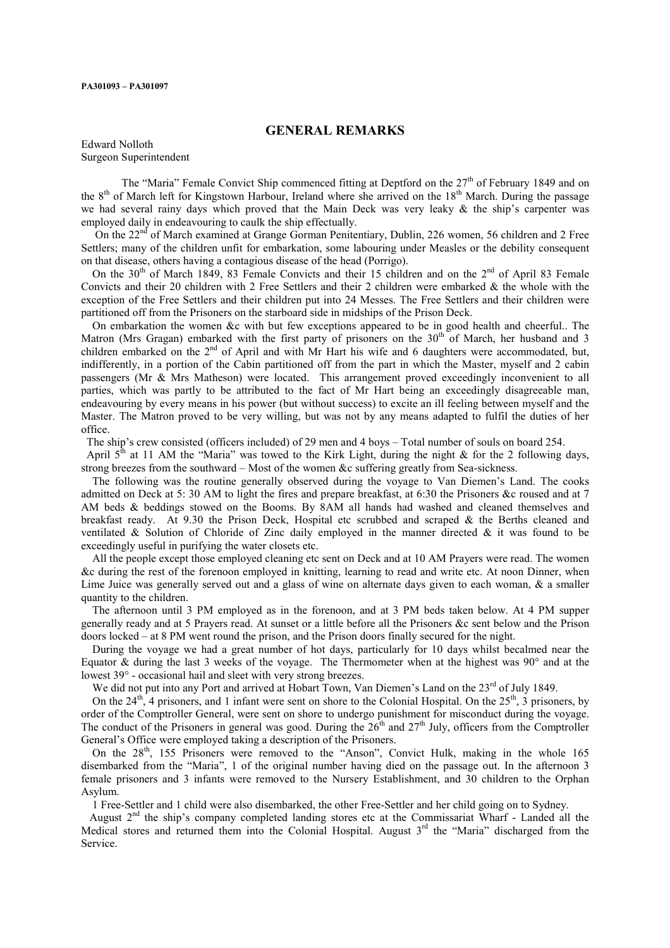#### PA301093 – PA301097

#### GENERAL REMARKS

Edward Nolloth Surgeon Superintendent

The "Maria" Female Convict Ship commenced fitting at Deptford on the 27<sup>th</sup> of February 1849 and on the 8<sup>th</sup> of March left for Kingstown Harbour, Ireland where she arrived on the 18<sup>th</sup> March. During the passage we had several rainy days which proved that the Main Deck was very leaky & the ship's carpenter was employed daily in endeavouring to caulk the ship effectually.

On the 22<sup>nd</sup> of March examined at Grange Gorman Penitentiary, Dublin, 226 women, 56 children and 2 Free Settlers; many of the children unfit for embarkation, some labouring under Measles or the debility consequent on that disease, others having a contagious disease of the head (Porrigo).

On the 30<sup>th</sup> of March 1849, 83 Female Convicts and their 15 children and on the 2<sup>nd</sup> of April 83 Female Convicts and their 20 children with 2 Free Settlers and their 2 children were embarked & the whole with the exception of the Free Settlers and their children put into 24 Messes. The Free Settlers and their children were partitioned off from the Prisoners on the starboard side in midships of the Prison Deck.

 On embarkation the women &c with but few exceptions appeared to be in good health and cheerful.. The Matron (Mrs Gragan) embarked with the first party of prisoners on the 30<sup>th</sup> of March, her husband and 3 children embarked on the 2<sup>nd</sup> of April and with Mr Hart his wife and 6 daughters were accommodated, but, indifferently, in a portion of the Cabin partitioned off from the part in which the Master, myself and 2 cabin passengers (Mr & Mrs Matheson) were located. This arrangement proved exceedingly inconvenient to all parties, which was partly to be attributed to the fact of Mr Hart being an exceedingly disagreeable man, endeavouring by every means in his power (but without success) to excite an ill feeling between myself and the Master. The Matron proved to be very willing, but was not by any means adapted to fulfil the duties of her office.

The ship's crew consisted (officers included) of 29 men and 4 boys – Total number of souls on board 254.

April  $5<sup>th</sup>$  at 11 AM the "Maria" was towed to the Kirk Light, during the night & for the 2 following days, strong breezes from the southward – Most of the women &c suffering greatly from Sea-sickness.

 The following was the routine generally observed during the voyage to Van Diemen's Land. The cooks admitted on Deck at 5: 30 AM to light the fires and prepare breakfast, at 6:30 the Prisoners &c roused and at 7 AM beds & beddings stowed on the Booms. By 8AM all hands had washed and cleaned themselves and breakfast ready. At 9.30 the Prison Deck, Hospital etc scrubbed and scraped & the Berths cleaned and ventilated & Solution of Chloride of Zinc daily employed in the manner directed & it was found to be exceedingly useful in purifying the water closets etc.

 All the people except those employed cleaning etc sent on Deck and at 10 AM Prayers were read. The women &c during the rest of the forenoon employed in knitting, learning to read and write etc. At noon Dinner, when Lime Juice was generally served out and a glass of wine on alternate days given to each woman,  $\&$  a smaller quantity to the children.

 The afternoon until 3 PM employed as in the forenoon, and at 3 PM beds taken below. At 4 PM supper generally ready and at 5 Prayers read. At sunset or a little before all the Prisoners &c sent below and the Prison doors locked – at 8 PM went round the prison, and the Prison doors finally secured for the night.

 During the voyage we had a great number of hot days, particularly for 10 days whilst becalmed near the Equator & during the last 3 weeks of the voyage. The Thermometer when at the highest was  $90^{\circ}$  and at the lowest 39° - occasional hail and sleet with very strong breezes.

We did not put into any Port and arrived at Hobart Town, Van Diemen's Land on the 23<sup>rd</sup> of July 1849.

On the  $24<sup>th</sup>$ , 4 prisoners, and 1 infant were sent on shore to the Colonial Hospital. On the  $25<sup>th</sup>$ , 3 prisoners, by order of the Comptroller General, were sent on shore to undergo punishment for misconduct during the voyage. The conduct of the Prisoners in general was good. During the  $26<sup>th</sup>$  and  $27<sup>th</sup>$  July, officers from the Comptroller General's Office were employed taking a description of the Prisoners.

On the  $28<sup>th</sup>$ , 155 Prisoners were removed to the "Anson", Convict Hulk, making in the whole 165 disembarked from the "Maria", 1 of the original number having died on the passage out. In the afternoon 3 female prisoners and 3 infants were removed to the Nursery Establishment, and 30 children to the Orphan Asylum.

1 Free-Settler and 1 child were also disembarked, the other Free-Settler and her child going on to Sydney.

August  $2<sup>nd</sup>$  the ship's company completed landing stores etc at the Commissariat Wharf - Landed all the Medical stores and returned them into the Colonial Hospital. August  $3<sup>rd</sup>$  the "Maria" discharged from the Service.